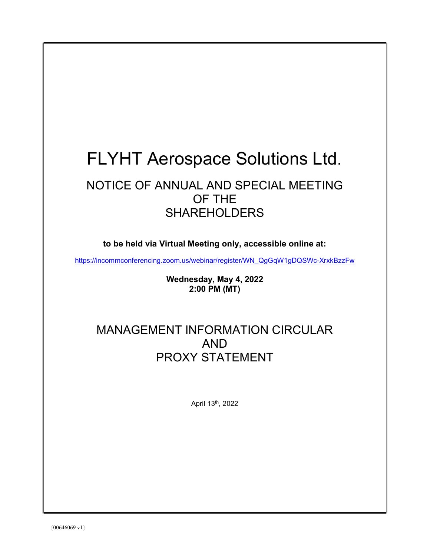# FLYHT Aerospace Solutions Ltd.

# NOTICE OF ANNUAL AND SPECIAL MEETING OF THE SHAREHOLDERS

to be held via Virtual Meeting only, accessible online at:

https://incommconferencing.zoom.us/webinar/register/WN\_QgGqW1gDQSWc-XrxkBzzFw

Wednesday, May 4, 2022 2:00 PM (MT)

# MANAGEMENT INFORMATION CIRCULAR AND PROXY STATEMENT

April 13th, 2022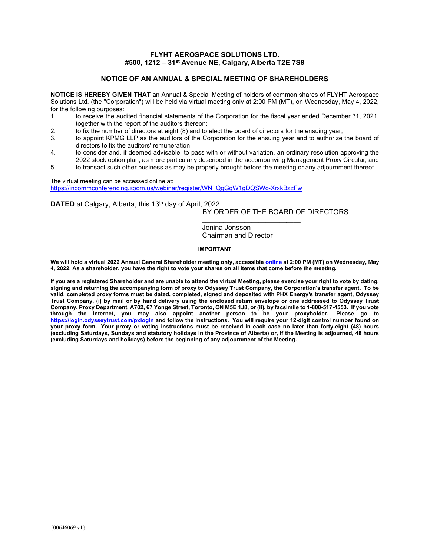# FLYHT AEROSPACE SOLUTIONS LTD. #500, 1212 - 31<sup>st</sup> Avenue NE, Calgary, Alberta T2E 7S8

# NOTICE OF AN ANNUAL & SPECIAL MEETING OF SHAREHOLDERS

NOTICE IS HEREBY GIVEN THAT an Annual & Special Meeting of holders of common shares of FLYHT Aerospace Solutions Ltd. (the "Corporation") will be held via virtual meeting only at 2:00 PM (MT), on Wednesday, May 4, 2022, for the following purposes:

- 1. to receive the audited financial statements of the Corporation for the fiscal year ended December 31, 2021, together with the report of the auditors thereon;
- 2. to fix the number of directors at eight (8) and to elect the board of directors for the ensuing year;
- 3. to appoint KPMG LLP as the auditors of the Corporation for the ensuing year and to authorize the board of directors to fix the auditors' remuneration;
- 4. to consider and, if deemed advisable, to pass with or without variation, an ordinary resolution approving the 2022 stock option plan, as more particularly described in the accompanying Management Proxy Circular; and
- 5. to transact such other business as may be properly brought before the meeting or any adjournment thereof.

The virtual meeting can be accessed online at: https://incommconferencing.zoom.us/webinar/register/WN\_QgGqW1gDQSWc-XrxkBzzFw

DATED at Calgary, Alberta, this 13<sup>th</sup> day of April, 2022.

# BY ORDER OF THE BOARD OF DIRECTORS

Jonina Jonsson Chairman and Director

 $\mathcal{L}_\text{max}$  and  $\mathcal{L}_\text{max}$  and  $\mathcal{L}_\text{max}$  and  $\mathcal{L}_\text{max}$ 

# IMPORTANT

We will hold a virtual 2022 Annual General Shareholder meeting only, accessible online at 2:00 PM (MT) on Wednesday, May 4, 2022. As a shareholder, you have the right to vote your shares on all items that come before the meeting.

If you are a registered Shareholder and are unable to attend the virtual Meeting, please exercise your right to vote by dating, signing and returning the accompanying form of proxy to Odyssey Trust Company, the Corporation's transfer agent. To be valid, completed proxy forms must be dated, completed, signed and deposited with PHX Energy's transfer agent, Odyssey Trust Company, (i) by mail or by hand delivery using the enclosed return envelope or one addressed to Odyssey Trust Company, Proxy Department, A702, 67 Yonge Street, Toronto, ON M5E 1J8, or (ii), by facsimile to 1-800-517-4553. If you vote through the Internet, you may also appoint another person to be your proxyholder. Please go to https://login.odysseytrust.com/pxlogin and follow the instructions. You will require your 12-digit control number found on your proxy form. Your proxy or voting instructions must be received in each case no later than forty-eight (48) hours (excluding Saturdays, Sundays and statutory holidays in the Province of Alberta) or, if the Meeting is adjourned, 48 hours (excluding Saturdays and holidays) before the beginning of any adjournment of the Meeting.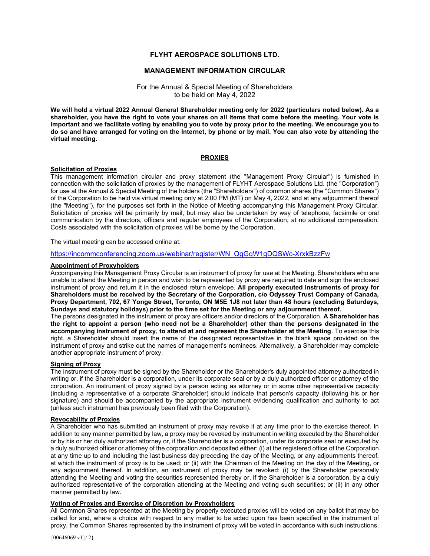# FLYHT AEROSPACE SOLUTIONS LTD.

#### MANAGEMENT INFORMATION CIRCULAR

#### For the Annual & Special Meeting of Shareholders to be held on May 4, 2022

We will hold a virtual 2022 Annual General Shareholder meeting only for 2022 (particulars noted below). As a shareholder, you have the right to vote your shares on all items that come before the meeting. Your vote is important and we facilitate voting by enabling you to vote by proxy prior to the meeting. We encourage you to do so and have arranged for voting on the Internet, by phone or by mail. You can also vote by attending the virtual meeting.

#### PROXIES

# Solicitation of Proxies

This management information circular and proxy statement (the "Management Proxy Circular") is furnished in connection with the solicitation of proxies by the management of FLYHT Aerospace Solutions Ltd. (the "Corporation") for use at the Annual & Special Meeting of the holders (the "Shareholders") of common shares (the "Common Shares") of the Corporation to be held via virtual meeting only at 2:00 PM (MT) on May 4, 2022, and at any adjournment thereof (the "Meeting"), for the purposes set forth in the Notice of Meeting accompanying this Management Proxy Circular. Solicitation of proxies will be primarily by mail, but may also be undertaken by way of telephone, facsimile or oral communication by the directors, officers and regular employees of the Corporation, at no additional compensation. Costs associated with the solicitation of proxies will be borne by the Corporation.

The virtual meeting can be accessed online at:

#### https://incommconferencing.zoom.us/webinar/register/WN\_QgGqW1gDQSWc-XrxkBzzFw

# Appointment of Proxyholders

Accompanying this Management Proxy Circular is an instrument of proxy for use at the Meeting. Shareholders who are unable to attend the Meeting in person and wish to be represented by proxy are required to date and sign the enclosed instrument of proxy and return it in the enclosed return envelope. All properly executed instruments of proxy for Shareholders must be received by the Secretary of the Corporation, c/o Odyssey Trust Company of Canada, Proxy Department, 702, 67 Yonge Street, Toronto, ON M5E 1J8 not later than 48 hours (excluding Saturdays, Sundays and statutory holidays) prior to the time set for the Meeting or any adjournment thereof.

The persons designated in the instrument of proxy are officers and/or directors of the Corporation. A Shareholder has the right to appoint a person (who need not be a Shareholder) other than the persons designated in the accompanying instrument of proxy, to attend at and represent the Shareholder at the Meeting. To exercise this right, a Shareholder should insert the name of the designated representative in the blank space provided on the instrument of proxy and strike out the names of management's nominees. Alternatively, a Shareholder may complete another appropriate instrument of proxy.

# Signing of Proxy

The instrument of proxy must be signed by the Shareholder or the Shareholder's duly appointed attorney authorized in writing or, if the Shareholder is a corporation, under its corporate seal or by a duly authorized officer or attorney of the corporation. An instrument of proxy signed by a person acting as attorney or in some other representative capacity (including a representative of a corporate Shareholder) should indicate that person's capacity (following his or her signature) and should be accompanied by the appropriate instrument evidencing qualification and authority to act (unless such instrument has previously been filed with the Corporation).

# Revocability of Proxies

A Shareholder who has submitted an instrument of proxy may revoke it at any time prior to the exercise thereof. In addition to any manner permitted by law, a proxy may be revoked by instrument in writing executed by the Shareholder or by his or her duly authorized attorney or, if the Shareholder is a corporation, under its corporate seal or executed by a duly authorized officer or attorney of the corporation and deposited either: (i) at the registered office of the Corporation at any time up to and including the last business day preceding the day of the Meeting, or any adjournments thereof, at which the instrument of proxy is to be used; or (ii) with the Chairman of the Meeting on the day of the Meeting, or any adjournment thereof. In addition, an instrument of proxy may be revoked: (i) by the Shareholder personally attending the Meeting and voting the securities represented thereby or, if the Shareholder is a corporation, by a duly authorized representative of the corporation attending at the Meeting and voting such securities; or (ii) in any other manner permitted by law.

#### Voting of Proxies and Exercise of Discretion by Proxyholders

All Common Shares represented at the Meeting by properly executed proxies will be voted on any ballot that may be called for and, where a choice with respect to any matter to be acted upon has been specified in the instrument of proxy, the Common Shares represented by the instrument of proxy will be voted in accordance with such instructions.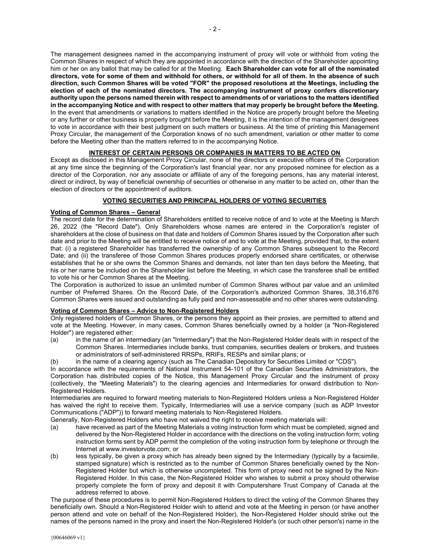The management designees named in the accompanying instrument of proxy will vote or withhold from voting the Common Shares in respect of which they are appointed in accordance with the direction of the Shareholder appointing him or her on any ballot that may be called for at the Meeting. Each Shareholder can vote for all of the nominated directors, vote for some of them and withhold for others, or withhold for all of them. In the absence of such direction, such Common Shares will be voted "FOR" the proposed resolutions at the Meetings, including the election of each of the nominated directors. The accompanying instrument of proxy confers discretionary authority upon the persons named therein with respect to amendments of or variations to the matters identified in the accompanying Notice and with respect to other matters that may properly be brought before the Meeting. In the event that amendments or variations to matters identified in the Notice are properly brought before the Meeting or any further or other business is properly brought before the Meeting, it is the intention of the management designees to vote in accordance with their best judgment on such matters or business. At the time of printing this Management Proxy Circular, the management of the Corporation knows of no such amendment, variation or other matter to come before the Meeting other than the matters referred to in the accompanying Notice.

# INTEREST OF CERTAIN PERSONS OR COMPANIES IN MATTERS TO BE ACTED ON

Except as disclosed in this Management Proxy Circular, none of the directors or executive officers of the Corporation at any time since the beginning of the Corporation's last financial year, nor any proposed nominee for election as a director of the Corporation, nor any associate or affiliate of any of the foregoing persons, has any material interest, direct or indirect, by way of beneficial ownership of securities or otherwise in any matter to be acted on, other than the election of directors or the appointment of auditors.

# VOTING SECURITIES AND PRINCIPAL HOLDERS OF VOTING SECURITIES

# Voting of Common Shares – General

The record date for the determination of Shareholders entitled to receive notice of and to vote at the Meeting is March 26, 2022 (the "Record Date"). Only Shareholders whose names are entered in the Corporation's register of shareholders at the close of business on that date and holders of Common Shares issued by the Corporation after such date and prior to the Meeting will be entitled to receive notice of and to vote at the Meeting, provided that, to the extent that: (i) a registered Shareholder has transferred the ownership of any Common Shares subsequent to the Record Date; and (ii) the transferee of those Common Shares produces properly endorsed share certificates, or otherwise establishes that he or she owns the Common Shares and demands, not later than ten days before the Meeting, that his or her name be included on the Shareholder list before the Meeting, in which case the transferee shall be entitled to vote his or her Common Shares at the Meeting.

The Corporation is authorized to issue an unlimited number of Common Shares without par value and an unlimited number of Preferred Shares. On the Record Date, of the Corporation's authorized Common Shares, 38,316,876 Common Shares were issued and outstanding as fully paid and non-assessable and no other shares were outstanding.

#### Voting of Common Shares – Advice to Non-Registered Holders

Only registered holders of Common Shares, or the persons they appoint as their proxies, are permitted to attend and vote at the Meeting. However, in many cases, Common Shares beneficially owned by a holder (a "Non-Registered Holder") are registered either:

- (a) in the name of an intermediary (an "Intermediary") that the Non-Registered Holder deals with in respect of the Common Shares. Intermediaries include banks, trust companies, securities dealers or brokers, and trustees or administrators of self-administered RRSPs, RRIFs, RESPs and similar plans; or
- (b) in the name of a clearing agency (such as The Canadian Depository for Securities Limited or "CDS").

In accordance with the requirements of National Instrument 54-101 of the Canadian Securities Administrators, the Corporation has distributed copies of the Notice, this Management Proxy Circular and the instrument of proxy (collectively, the "Meeting Materials") to the clearing agencies and Intermediaries for onward distribution to Non-Registered Holders.

Intermediaries are required to forward meeting materials to Non-Registered Holders unless a Non-Registered Holder has waived the right to receive them. Typically, Intermediaries will use a service company (such as ADP Investor Communications ("ADP")) to forward meeting materials to Non-Registered Holders.

Generally, Non-Registered Holders who have not waived the right to receive meeting materials will:

- (a) have received as part of the Meeting Materials a voting instruction form which must be completed, signed and delivered by the Non-Registered Holder in accordance with the directions on the voting instruction form; voting instruction forms sent by ADP permit the completion of the voting instruction form by telephone or through the Internet at www.investorvote.com; or
- (b) less typically, be given a proxy which has already been signed by the Intermediary (typically by a facsimile, stamped signature) which is restricted as to the number of Common Shares beneficially owned by the Non-Registered Holder but which is otherwise uncompleted. This form of proxy need not be signed by the Non-Registered Holder. In this case, the Non-Registered Holder who wishes to submit a proxy should otherwise properly complete the form of proxy and deposit it with Computershare Trust Company of Canada at the address referred to above.

The purpose of these procedures is to permit Non-Registered Holders to direct the voting of the Common Shares they beneficially own. Should a Non-Registered Holder wish to attend and vote at the Meeting in person (or have another person attend and vote on behalf of the Non-Registered Holder), the Non-Registered Holder should strike out the names of the persons named in the proxy and insert the Non-Registered Holder's (or such other person's) name in the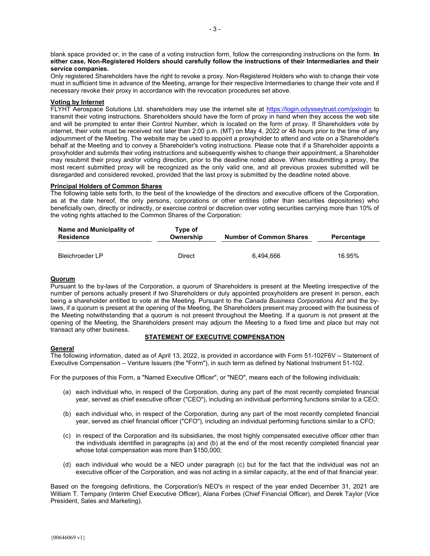blank space provided or, in the case of a voting instruction form, follow the corresponding instructions on the form. In either case, Non-Registered Holders should carefully follow the instructions of their Intermediaries and their service companies.

Only registered Shareholders have the right to revoke a proxy. Non-Registered Holders who wish to change their vote must in sufficient time in advance of the Meeting, arrange for their respective Intermediaries to change their vote and if necessary revoke their proxy in accordance with the revocation procedures set above.

#### Voting by Internet

FLYHT Aerospace Solutions Ltd. shareholders may use the internet site at https://login.odysseytrust.com/pxlogin to transmit their voting instructions. Shareholders should have the form of proxy in hand when they access the web site and will be prompted to enter their Control Number, which is located on the form of proxy. If Shareholders vote by internet, their vote must be received not later than 2:00 p.m. (MT) on May 4, 2022 or 48 hours prior to the time of any adjournment of the Meeting. The website may be used to appoint a proxyholder to attend and vote on a Shareholder's behalf at the Meeting and to convey a Shareholder's voting instructions. Please note that if a Shareholder appoints a proxyholder and submits their voting instructions and subsequently wishes to change their appointment, a Shareholder may resubmit their proxy and/or voting direction, prior to the deadline noted above. When resubmitting a proxy, the most recent submitted proxy will be recognized as the only valid one, and all previous proxies submitted will be disregarded and considered revoked, provided that the last proxy is submitted by the deadline noted above.

#### Principal Holders of Common Shares

The following table sets forth, to the best of the knowledge of the directors and executive officers of the Corporation, as at the date hereof, the only persons, corporations or other entities (other than securities depositories) who beneficially own, directly or indirectly, or exercise control or discretion over voting securities carrying more than 10% of the voting rights attached to the Common Shares of the Corporation:

| Name and Municipality of<br><b>Residence</b> | Tvpe of<br>Ownership | <b>Number of Common Shares</b> | Percentage |
|----------------------------------------------|----------------------|--------------------------------|------------|
| Bleichroeder LP                              | Direct               | 6.494.666                      | 16.95%     |

#### **Quorum**

Pursuant to the by-laws of the Corporation, a quorum of Shareholders is present at the Meeting irrespective of the number of persons actually present if two Shareholders or duly appointed proxyholders are present in person, each being a shareholder entitled to vote at the Meeting. Pursuant to the Canada Business Corporations Act and the bylaws, if a quorum is present at the opening of the Meeting, the Shareholders present may proceed with the business of the Meeting notwithstanding that a quorum is not present throughout the Meeting. If a quorum is not present at the opening of the Meeting, the Shareholders present may adjourn the Meeting to a fixed time and place but may not transact any other business.

#### STATEMENT OF EXECUTIVE COMPENSATION

# **General**

The following information, dated as of April 13, 2022, is provided in accordance with Form 51-102F6V – Statement of Executive Compensation – Venture Issuers (the "Form"), in such term as defined by National Instrument 51-102.

For the purposes of this Form, a "Named Executive Officer", or "NEO", means each of the following individuals:

- (a) each individual who, in respect of the Corporation, during any part of the most recently completed financial year, served as chief executive officer ("CEO"), including an individual performing functions similar to a CEO;
- (b) each individual who, in respect of the Corporation, during any part of the most recently completed financial year, served as chief financial officer ("CFO"), including an individual performing functions similar to a CFO;
- (c) in respect of the Corporation and its subsidiaries, the most highly compensated executive officer other than the individuals identified in paragraphs (a) and (b) at the end of the most recently completed financial year whose total compensation was more than \$150,000;
- (d) each individual who would be a NEO under paragraph (c) but for the fact that the individual was not an executive officer of the Corporation, and was not acting in a similar capacity, at the end of that financial year.

Based on the foregoing definitions, the Corporation's NEO's in respect of the year ended December 31, 2021 are William T. Tempany (Interim Chief Executive Officer), Alana Forbes (Chief Financial Officer), and Derek Taylor (Vice President, Sales and Marketing).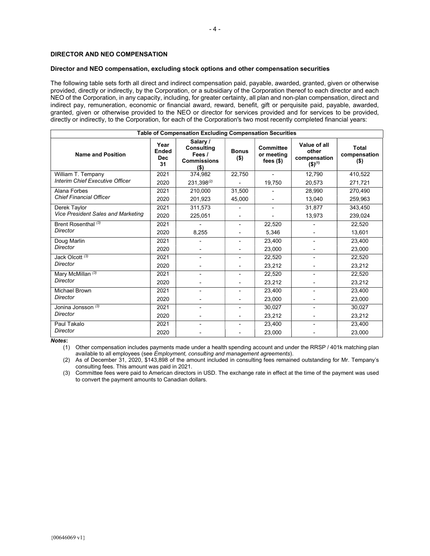#### Director and NEO compensation, excluding stock options and other compensation securities

The following table sets forth all direct and indirect compensation paid, payable, awarded, granted, given or otherwise provided, directly or indirectly, by the Corporation, or a subsidiary of the Corporation thereof to each director and each NEO of the Corporation, in any capacity, including, for greater certainty, all plan and non-plan compensation, direct and indirect pay, remuneration, economic or financial award, reward, benefit, gift or perquisite paid, payable, awarded, granted, given or otherwise provided to the NEO or director for services provided and for services to be provided, directly or indirectly, to the Corporation, for each of the Corporation's two most recently completed financial years:

| <b>Table of Compensation Excluding Compensation Securities</b> |                                          |                                                                   |                         |                                               |                                                                 |                                         |
|----------------------------------------------------------------|------------------------------------------|-------------------------------------------------------------------|-------------------------|-----------------------------------------------|-----------------------------------------------------------------|-----------------------------------------|
| <b>Name and Position</b>                                       | Year<br><b>Ended</b><br><b>Dec</b><br>31 | Salary /<br>Consulting<br>Fees /<br><b>Commissions</b><br>$($ \$) | <b>Bonus</b><br>$($ \$) | <b>Committee</b><br>or meeting<br>fees $(\$)$ | Value of all<br>other<br>compensation<br>$($ \$) <sup>(1)</sup> | <b>Total</b><br>compensation<br>$($ \$) |
| William T. Tempany                                             | 2021                                     | 374,982                                                           | 22,750                  |                                               | 12,790                                                          | 410,522                                 |
| <b>Interim Chief Executive Officer</b>                         | 2020                                     | 231,398 <sup>(2)</sup>                                            |                         | 19,750                                        | 20,573                                                          | 271,721                                 |
| Alana Forbes                                                   | 2021                                     | 210.000                                                           | 31,500                  |                                               | 28,990                                                          | 270,490                                 |
| <b>Chief Financial Officer</b>                                 | 2020                                     | 201,923                                                           | 45,000                  |                                               | 13,040                                                          | 259,963                                 |
| Derek Taylor                                                   | 2021                                     | 311,573                                                           |                         |                                               | 31,877                                                          | 343,450                                 |
| <b>Vice President Sales and Marketing</b>                      | 2020                                     | 225,051                                                           |                         |                                               | 13,973                                                          | 239.024                                 |
| Brent Rosenthal <sup>(3)</sup>                                 | 2021                                     |                                                                   |                         | 22,520                                        |                                                                 | 22,520                                  |
| Director                                                       | 2020                                     | 8,255                                                             |                         | 5,346                                         |                                                                 | 13,601                                  |
| Doug Marlin                                                    | 2021                                     |                                                                   |                         | 23.400                                        |                                                                 | 23,400                                  |
| <b>Director</b>                                                | 2020                                     |                                                                   |                         | 23,000                                        |                                                                 | 23,000                                  |
| Jack Olcott <sup>(3)</sup>                                     | 2021                                     |                                                                   |                         | 22.520                                        |                                                                 | 22,520                                  |
| Director                                                       | 2020                                     |                                                                   |                         | 23,212                                        |                                                                 | 23,212                                  |
| Mary McMillan <sup>(3)</sup>                                   | 2021                                     |                                                                   |                         | 22.520                                        | $\overline{a}$                                                  | 22,520                                  |
| Director                                                       | 2020                                     |                                                                   |                         | 23,212                                        |                                                                 | 23,212                                  |
| <b>Michael Brown</b>                                           | 2021                                     |                                                                   |                         | 23,400                                        |                                                                 | 23,400                                  |
| Director                                                       | 2020                                     |                                                                   |                         | 23,000                                        |                                                                 | 23,000                                  |
| Jonina Jonsson <sup>(3)</sup>                                  | 2021                                     |                                                                   |                         | 30,027                                        | $\overline{a}$                                                  | 30,027                                  |
| Director                                                       | 2020                                     |                                                                   |                         | 23,212                                        |                                                                 | 23,212                                  |
| Paul Takalo                                                    | 2021                                     |                                                                   |                         | 23,400                                        |                                                                 | 23,400                                  |
| Director                                                       | 2020                                     |                                                                   |                         | 23,000                                        |                                                                 | 23,000                                  |

Notes:

(1) Other compensation includes payments made under a health spending account and under the RRSP / 401k matching plan available to all employees (see Employment, consulting and management agreements).

(2) As of December 31, 2020, \$143,898 of the amount included in consulting fees remained outstanding for Mr. Tempany's consulting fees. This amount was paid in 2021.

(3) Committee fees were paid to American directors in USD. The exchange rate in effect at the time of the payment was used to convert the payment amounts to Canadian dollars.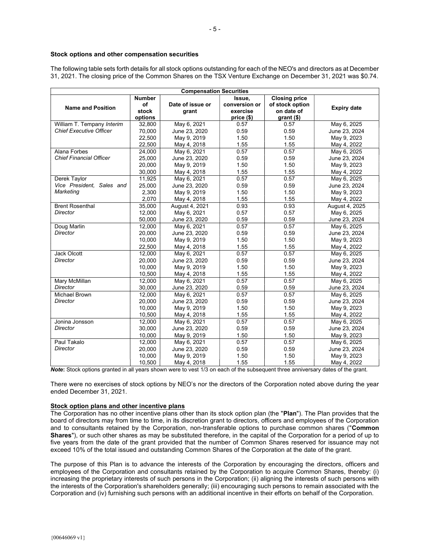#### Stock options and other compensation securities

The following table sets forth details for all stock options outstanding for each of the NEO's and directors as at December 31, 2021. The closing price of the Common Shares on the TSX Venture Exchange on December 31, 2021 was \$0.74.

| <b>Compensation Securities</b> |                                                 |                  |               |                 |                    |
|--------------------------------|-------------------------------------------------|------------------|---------------|-----------------|--------------------|
|                                | <b>Number</b><br><b>Closing price</b><br>Issue, |                  |               |                 |                    |
| <b>Name and Position</b>       | of                                              | Date of issue or | conversion or | of stock option | <b>Expiry date</b> |
|                                | stock                                           | grant            | exercise      | on date of      |                    |
|                                | options                                         |                  | price (\$)    | $grant$ (\$)    |                    |
| William T. Tempany Interim     | 32,800                                          | May 6, 2021      | 0.57          | 0.57            | May 6, 2025        |
| <b>Chief Executive Officer</b> | 70,000                                          | June 23, 2020    | 0.59          | 0.59            | June 23, 2024      |
|                                | 22,500                                          | May 9, 2019      | 1.50          | 1.50            | May 9, 2023        |
|                                | 22,500                                          | May 4, 2018      | 1.55          | 1.55            | May 4, 2022        |
| Alana Forbes                   | 24,000                                          | May 6, 2021      | 0.57          | 0.57            | May 6, 2025        |
| <b>Chief Financial Officer</b> | 25,000                                          | June 23, 2020    | 0.59          | 0.59            | June 23, 2024      |
|                                | 20,000                                          | May 9, 2019      | 1.50          | 1.50            | May 9, 2023        |
|                                | 30,000                                          | May 4, 2018      | 1.55          | 1.55            | May 4, 2022        |
| Derek Taylor                   | 11,925                                          | May 6, 2021      | 0.57          | 0.57            | May 6, 2025        |
| Vice President, Sales and      | 25,000                                          | June 23, 2020    | 0.59          | 0.59            | June 23, 2024      |
| Marketing                      | 2,300                                           | May 9, 2019      | 1.50          | 1.50            | May 9, 2023        |
|                                | 2,070                                           | May 4, 2018      | 1.55          | 1.55            | May 4, 2022        |
| <b>Brent Rosenthal</b>         | 35,000                                          | August 4, 2021   | 0.93          | 0.93            | August 4, 2025     |
| Director                       | 12,000                                          | May 6, 2021      | 0.57          | 0.57            | May 6, 2025        |
|                                | 50,000                                          | June 23, 2020    | 0.59          | 0.59            | June 23, 2024      |
| Doug Marlin                    | 12,000                                          | May 6, 2021      | 0.57          | 0.57            | May 6, 2025        |
| Director                       | 20,000                                          | June 23, 2020    | 0.59          | 0.59            | June 23, 2024      |
|                                | 10,000                                          | May 9, 2019      | 1.50          | 1.50            | May 9, 2023        |
|                                | 22,500                                          | May 4, 2018      | 1.55          | 1.55            | May 4, 2022        |
| Jack Olcott                    | 12,000                                          | May 6, 2021      | 0.57          | 0.57            | May 6, 2025        |
| Director                       | 20.000                                          | June 23, 2020    | 0.59          | 0.59            | June 23, 2024      |
|                                | 10,000                                          | May 9, 2019      | 1.50          | 1.50            | May 9, 2023        |
|                                | 10,500                                          | May 4, 2018      | 1.55          | 1.55            | May 4, 2022        |
| Mary McMillan                  | 12,000                                          | May 6, 2021      | 0.57          | 0.57            | May 6, 2025        |
| Director                       | 30,000                                          | June 23, 2020    | 0.59          | 0.59            | June 23, 2024      |
| <b>Michael Brown</b>           | 12,000                                          | May 6, 2021      | 0.57          | 0.57            | May 6, 2025        |
| Director                       | 20,000                                          | June 23, 2020    | 0.59          | 0.59            | June 23, 2024      |
|                                | 10,000                                          | May 9, 2019      | 1.50          | 1.50            | May 9, 2023        |
|                                | 10,500                                          | May 4, 2018      | 1.55          | 1.55            | May 4, 2022        |
| Jonina Jonsson                 | 12,000                                          | May 6, 2021      | 0.57          | 0.57            | May 6, 2025        |
| <b>Director</b>                | 30,000                                          | June 23, 2020    | 0.59          | 0.59            | June 23, 2024      |
|                                | 10,000                                          | May 9, 2019      | 1.50          | 1.50            | May 9, 2023        |
| Paul Takalo                    | 12,000                                          | May 6, 2021      | 0.57          | 0.57            | May 6, 2025        |
| Director                       | 20,000                                          | June 23, 2020    | 0.59          | 0.59            | June 23, 2024      |
|                                | 10,000                                          | May 9, 2019      | 1.50          | 1.50            | May 9, 2023        |
|                                | 10,500                                          | May 4, 2018      | 1.55          | 1.55            | May 4, 2022        |

Note: Stock options granted in all years shown were to vest 1/3 on each of the subsequent three anniversary dates of the grant.

There were no exercises of stock options by NEO's nor the directors of the Corporation noted above during the year ended December 31, 2021.

#### Stock option plans and other incentive plans

The Corporation has no other incentive plans other than its stock option plan (the "Plan"). The Plan provides that the board of directors may from time to time, in its discretion grant to directors, officers and employees of the Corporation and to consultants retained by the Corporation, non-transferable options to purchase common shares ("Common Shares"), or such other shares as may be substituted therefore, in the capital of the Corporation for a period of up to five years from the date of the grant provided that the number of Common Shares reserved for issuance may not exceed 10% of the total issued and outstanding Common Shares of the Corporation at the date of the grant.

The purpose of this Plan is to advance the interests of the Corporation by encouraging the directors, officers and employees of the Corporation and consultants retained by the Corporation to acquire Common Shares, thereby: (i) increasing the proprietary interests of such persons in the Corporation; (ii) aligning the interests of such persons with the interests of the Corporation's shareholders generally; (iii) encouraging such persons to remain associated with the Corporation and (iv) furnishing such persons with an additional incentive in their efforts on behalf of the Corporation.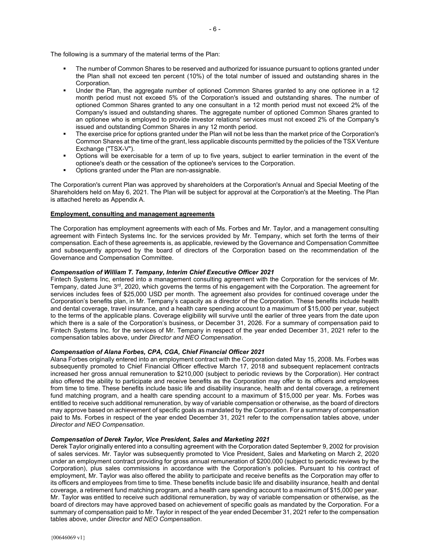The following is a summary of the material terms of the Plan:

- The number of Common Shares to be reserved and authorized for issuance pursuant to options granted under the Plan shall not exceed ten percent (10%) of the total number of issued and outstanding shares in the Corporation.
- Under the Plan, the aggregate number of optioned Common Shares granted to any one optionee in a 12 month period must not exceed 5% of the Corporation's issued and outstanding shares. The number of optioned Common Shares granted to any one consultant in a 12 month period must not exceed 2% of the Company's issued and outstanding shares. The aggregate number of optioned Common Shares granted to an optionee who is employed to provide investor relations' services must not exceed 2% of the Company's issued and outstanding Common Shares in any 12 month period.
- The exercise price for options granted under the Plan will not be less than the market price of the Corporation's Common Shares at the time of the grant, less applicable discounts permitted by the policies of the TSX Venture Exchange ("TSX-V").
- Options will be exercisable for a term of up to five years, subject to earlier termination in the event of the optionee's death or the cessation of the optionee's services to the Corporation.
- Options granted under the Plan are non-assignable.

The Corporation's current Plan was approved by shareholders at the Corporation's Annual and Special Meeting of the Shareholders held on May 6, 2021. The Plan will be subject for approval at the Corporation's at the Meeting. The Plan is attached hereto as Appendix A.

#### Employment, consulting and management agreements

The Corporation has employment agreements with each of Ms. Forbes and Mr. Taylor, and a management consulting agreement with Fintech Systems Inc. for the services provided by Mr. Tempany, which set forth the terms of their compensation. Each of these agreements is, as applicable, reviewed by the Governance and Compensation Committee and subsequently approved by the board of directors of the Corporation based on the recommendation of the Governance and Compensation Committee.

#### Compensation of William T. Tempany, Interim Chief Executive Officer 2021

Fintech Systems Inc, entered into a management consulting agreement with the Corporation for the services of Mr. Tempany, dated June 3rd, 2020, which governs the terms of his engagement with the Corporation. The agreement for services includes fees of \$25,000 USD per month. The agreement also provides for continued coverage under the Corporation's benefits plan, in Mr. Tempany's capacity as a director of the Corporation. These benefits include health and dental coverage, travel insurance, and a health care spending account to a maximum of \$15,000 per year, subject to the terms of the applicable plans. Coverage eligibility will survive until the earlier of three years from the date upon which there is a sale of the Corporation's business, or December 31, 2026. For a summary of compensation paid to Fintech Systems Inc. for the services of Mr. Tempany in respect of the year ended December 31, 2021 refer to the compensation tables above, under Director and NEO Compensation.

#### Compensation of Alana Forbes, CPA, CGA, Chief Financial Officer 2021

Alana Forbes originally entered into an employment contract with the Corporation dated May 15, 2008. Ms. Forbes was subsequently promoted to Chief Financial Officer effective March 17, 2018 and subsequent replacement contracts increased her gross annual remuneration to \$210,000 (subject to periodic reviews by the Corporation). Her contract also offered the ability to participate and receive benefits as the Corporation may offer to its officers and employees from time to time. These benefits include basic life and disability insurance, health and dental coverage, a retirement fund matching program, and a health care spending account to a maximum of \$15,000 per year. Ms. Forbes was entitled to receive such additional remuneration, by way of variable compensation or otherwise, as the board of directors may approve based on achievement of specific goals as mandated by the Corporation. For a summary of compensation paid to Ms. Forbes in respect of the year ended December 31, 2021 refer to the compensation tables above, under Director and NEO Compensation.

#### Compensation of Derek Taylor, Vice President, Sales and Marketing 2021

Derek Taylor originally entered into a consulting agreement with the Corporation dated September 9, 2002 for provision of sales services. Mr. Taylor was subsequently promoted to Vice President, Sales and Marketing on March 2, 2020 under an employment contract providing for gross annual remuneration of \$200,000 (subject to periodic reviews by the Corporation), plus sales commissions in accordance with the Corporation's policies. Pursuant to his contract of employment, Mr. Taylor was also offered the ability to participate and receive benefits as the Corporation may offer to its officers and employees from time to time. These benefits include basic life and disability insurance, health and dental coverage, a retirement fund matching program, and a health care spending account to a maximum of \$15,000 per year. Mr. Taylor was entitled to receive such additional remuneration, by way of variable compensation or otherwise, as the board of directors may have approved based on achievement of specific goals as mandated by the Corporation. For a summary of compensation paid to Mr. Taylor in respect of the year ended December 31, 2021 refer to the compensation tables above, under Director and NEO Compensation.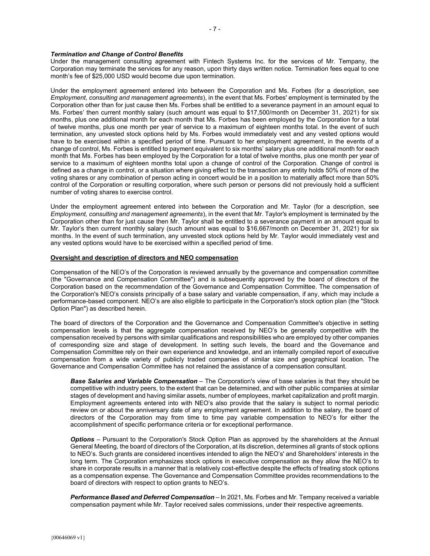#### Termination and Change of Control Benefits

Under the management consulting agreement with Fintech Systems Inc. for the services of Mr. Tempany, the Corporation may terminate the services for any reason, upon thirty days written notice. Termination fees equal to one month's fee of \$25,000 USD would become due upon termination.

Under the employment agreement entered into between the Corporation and Ms. Forbes (for a description, see Employment, consulting and management agreements), in the event that Ms. Forbes' employment is terminated by the Corporation other than for just cause then Ms. Forbes shall be entitled to a severance payment in an amount equal to Ms. Forbes' then current monthly salary (such amount was equal to \$17,500/month on December 31, 2021) for six months, plus one additional month for each month that Ms. Forbes has been employed by the Corporation for a total of twelve months, plus one month per year of service to a maximum of eighteen months total. In the event of such termination, any unvested stock options held by Ms. Forbes would immediately vest and any vested options would have to be exercised within a specified period of time. Pursuant to her employment agreement, in the events of a change of control, Ms. Forbes is entitled to payment equivalent to six months' salary plus one additional month for each month that Ms. Forbes has been employed by the Corporation for a total of twelve months, plus one month per year of service to a maximum of eighteen months total upon a change of control of the Corporation. Change of control is defined as a change in control, or a situation where giving effect to the transaction any entity holds 50% of more of the voting shares or any combination of person acting in concert would be in a position to materially affect more than 50% control of the Corporation or resulting corporation, where such person or persons did not previously hold a sufficient number of voting shares to exercise control.

Under the employment agreement entered into between the Corporation and Mr. Taylor (for a description, see Employment, consulting and management agreements), in the event that Mr. Taylor's employment is terminated by the Corporation other than for just cause then Mr. Taylor shall be entitled to a severance payment in an amount equal to Mr. Taylor's then current monthly salary (such amount was equal to \$16,667/month on December 31, 2021) for six months. In the event of such termination, any unvested stock options held by Mr. Taylor would immediately vest and any vested options would have to be exercised within a specified period of time.

#### Oversight and description of directors and NEO compensation

Compensation of the NEO's of the Corporation is reviewed annually by the governance and compensation committee (the "Governance and Compensation Committee") and is subsequently approved by the board of directors of the Corporation based on the recommendation of the Governance and Compensation Committee. The compensation of the Corporation's NEO's consists principally of a base salary and variable compensation, if any, which may include a performance-based component. NEO's are also eligible to participate in the Corporation's stock option plan (the "Stock Option Plan") as described herein.

The board of directors of the Corporation and the Governance and Compensation Committee's objective in setting compensation levels is that the aggregate compensation received by NEO's be generally competitive with the compensation received by persons with similar qualifications and responsibilities who are employed by other companies of corresponding size and stage of development. In setting such levels, the board and the Governance and Compensation Committee rely on their own experience and knowledge, and an internally compiled report of executive compensation from a wide variety of publicly traded companies of similar size and geographical location. The Governance and Compensation Committee has not retained the assistance of a compensation consultant.

Base Salaries and Variable Compensation - The Corporation's view of base salaries is that they should be competitive with industry peers, to the extent that can be determined, and with other public companies at similar stages of development and having similar assets, number of employees, market capitalization and profit margin. Employment agreements entered into with NEO's also provide that the salary is subject to normal periodic review on or about the anniversary date of any employment agreement. In addition to the salary, the board of directors of the Corporation may from time to time pay variable compensation to NEO's for either the accomplishment of specific performance criteria or for exceptional performance.

**Options** – Pursuant to the Corporation's Stock Option Plan as approved by the shareholders at the Annual General Meeting, the board of directors of the Corporation, at its discretion, determines all grants of stock options to NEO's. Such grants are considered incentives intended to align the NEO's' and Shareholders' interests in the long term. The Corporation emphasizes stock options in executive compensation as they allow the NEO's to share in corporate results in a manner that is relatively cost-effective despite the effects of treating stock options as a compensation expense. The Governance and Compensation Committee provides recommendations to the board of directors with respect to option grants to NEO's.

Performance Based and Deferred Compensation - In 2021, Ms. Forbes and Mr. Tempany received a variable compensation payment while Mr. Taylor received sales commissions, under their respective agreements.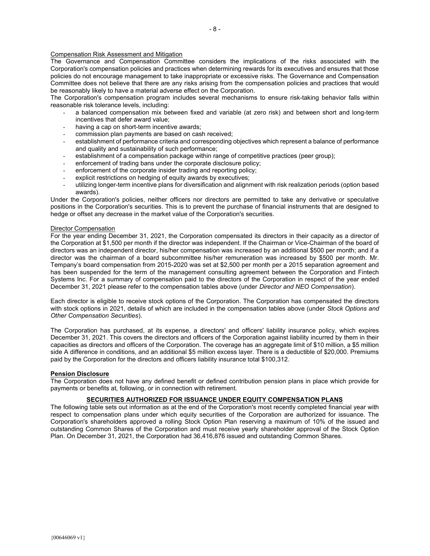The Governance and Compensation Committee considers the implications of the risks associated with the Corporation's compensation policies and practices when determining rewards for its executives and ensures that those policies do not encourage management to take inappropriate or excessive risks. The Governance and Compensation Committee does not believe that there are any risks arising from the compensation policies and practices that would be reasonably likely to have a material adverse effect on the Corporation.

The Corporation's compensation program includes several mechanisms to ensure risk-taking behavior falls within reasonable risk tolerance levels, including:

- a balanced compensation mix between fixed and variable (at zero risk) and between short and long-term incentives that defer award value;
- having a cap on short-term incentive awards;
- commission plan payments are based on cash received;
- establishment of performance criteria and corresponding objectives which represent a balance of performance and quality and sustainability of such performance;
- establishment of a compensation package within range of competitive practices (peer group):
- enforcement of trading bans under the corporate disclosure policy;
- enforcement of the corporate insider trading and reporting policy;
- explicit restrictions on hedging of equity awards by executives;
- utilizing longer-term incentive plans for diversification and alignment with risk realization periods (option based awards).

Under the Corporation's policies, neither officers nor directors are permitted to take any derivative or speculative positions in the Corporation's securities. This is to prevent the purchase of financial instruments that are designed to hedge or offset any decrease in the market value of the Corporation's securities.

#### Director Compensation

For the year ending December 31, 2021, the Corporation compensated its directors in their capacity as a director of the Corporation at \$1,500 per month if the director was independent. If the Chairman or Vice-Chairman of the board of directors was an independent director, his/her compensation was increased by an additional \$500 per month; and if a director was the chairman of a board subcommittee his/her remuneration was increased by \$500 per month. Mr. Tempany's board compensation from 2015-2020 was set at \$2,500 per month per a 2015 separation agreement and has been suspended for the term of the management consulting agreement between the Corporation and Fintech Systems Inc. For a summary of compensation paid to the directors of the Corporation in respect of the year ended December 31, 2021 please refer to the compensation tables above (under Director and NEO Compensation).

Each director is eligible to receive stock options of the Corporation. The Corporation has compensated the directors with stock options in 2021, details of which are included in the compensation tables above (under Stock Options and Other Compensation Securities).

The Corporation has purchased, at its expense, a directors' and officers' liability insurance policy, which expires December 31, 2021. This covers the directors and officers of the Corporation against liability incurred by them in their capacities as directors and officers of the Corporation. The coverage has an aggregate limit of \$10 million, a \$5 million side A difference in conditions, and an additional \$5 million excess layer. There is a deductible of \$20,000. Premiums paid by the Corporation for the directors and officers liability insurance total \$100,312.

#### Pension Disclosure

The Corporation does not have any defined benefit or defined contribution pension plans in place which provide for payments or benefits at, following, or in connection with retirement.

#### SECURITIES AUTHORIZED FOR ISSUANCE UNDER EQUITY COMPENSATION PLANS

The following table sets out information as at the end of the Corporation's most recently completed financial year with respect to compensation plans under which equity securities of the Corporation are authorized for issuance. The Corporation's shareholders approved a rolling Stock Option Plan reserving a maximum of 10% of the issued and outstanding Common Shares of the Corporation and must receive yearly shareholder approval of the Stock Option Plan. On December 31, 2021, the Corporation had 36,416,876 issued and outstanding Common Shares.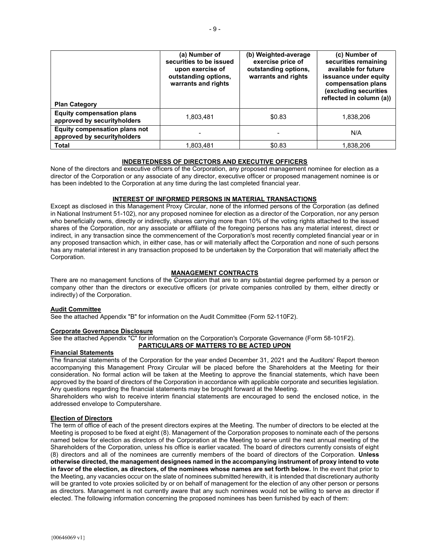| <b>Plan Category</b>                                            | (a) Number of<br>securities to be issued<br>upon exercise of<br>outstanding options,<br>warrants and rights | (b) Weighted-average<br>exercise price of<br>outstanding options,<br>warrants and rights | (c) Number of<br>securities remaining<br>available for future<br>issuance under equity<br>compensation plans<br>(excluding securities<br>reflected in column (a)) |
|-----------------------------------------------------------------|-------------------------------------------------------------------------------------------------------------|------------------------------------------------------------------------------------------|-------------------------------------------------------------------------------------------------------------------------------------------------------------------|
| <b>Equity compensation plans</b><br>approved by securityholders | 1,803,481                                                                                                   | \$0.83                                                                                   | 1,838,206                                                                                                                                                         |
| Equity compensation plans not<br>approved by securityholders    |                                                                                                             |                                                                                          | N/A                                                                                                                                                               |
| <b>Total</b>                                                    | 1.803.481                                                                                                   | \$0.83                                                                                   | 1.838.206                                                                                                                                                         |

# INDEBTEDNESS OF DIRECTORS AND EXECUTIVE OFFICERS

None of the directors and executive officers of the Corporation, any proposed management nominee for election as a director of the Corporation or any associate of any director, executive officer or proposed management nominee is or has been indebted to the Corporation at any time during the last completed financial year.

#### INTEREST OF INFORMED PERSONS IN MATERIAL TRANSACTIONS

Except as disclosed in this Management Proxy Circular, none of the informed persons of the Corporation (as defined in National Instrument 51-102), nor any proposed nominee for election as a director of the Corporation, nor any person who beneficially owns, directly or indirectly, shares carrying more than 10% of the voting rights attached to the issued shares of the Corporation, nor any associate or affiliate of the foregoing persons has any material interest, direct or indirect, in any transaction since the commencement of the Corporation's most recently completed financial year or in any proposed transaction which, in either case, has or will materially affect the Corporation and none of such persons has any material interest in any transaction proposed to be undertaken by the Corporation that will materially affect the Corporation.

#### MANAGEMENT CONTRACTS

There are no management functions of the Corporation that are to any substantial degree performed by a person or company other than the directors or executive officers (or private companies controlled by them, either directly or indirectly) of the Corporation.

#### Audit Committee

See the attached Appendix "B" for information on the Audit Committee (Form 52-110F2).

#### Corporate Governance Disclosure

See the attached Appendix "C" for information on the Corporation's Corporate Governance (Form 58-101F2). PARTICULARS OF MATTERS TO BE ACTED UPON

#### Financial Statements

The financial statements of the Corporation for the year ended December 31, 2021 and the Auditors' Report thereon accompanying this Management Proxy Circular will be placed before the Shareholders at the Meeting for their consideration. No formal action will be taken at the Meeting to approve the financial statements, which have been approved by the board of directors of the Corporation in accordance with applicable corporate and securities legislation. Any questions regarding the financial statements may be brought forward at the Meeting.

Shareholders who wish to receive interim financial statements are encouraged to send the enclosed notice, in the addressed envelope to Computershare.

#### Election of Directors

The term of office of each of the present directors expires at the Meeting. The number of directors to be elected at the Meeting is proposed to be fixed at eight (8). Management of the Corporation proposes to nominate each of the persons named below for election as directors of the Corporation at the Meeting to serve until the next annual meeting of the Shareholders of the Corporation, unless his office is earlier vacated. The board of directors currently consists of eight (8) directors and all of the nominees are currently members of the board of directors of the Corporation. Unless otherwise directed, the management designees named in the accompanying instrument of proxy intend to vote in favor of the election, as directors, of the nominees whose names are set forth below. In the event that prior to the Meeting, any vacancies occur on the slate of nominees submitted herewith, it is intended that discretionary authority will be granted to vote proxies solicited by or on behalf of management for the election of any other person or persons as directors. Management is not currently aware that any such nominees would not be willing to serve as director if elected. The following information concerning the proposed nominees has been furnished by each of them: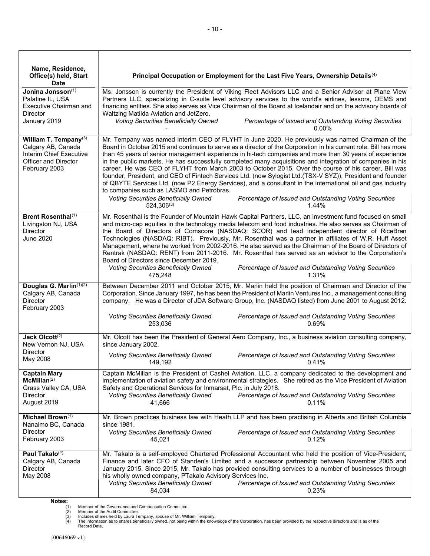| Name, Residence,<br>Office(s) held, Start<br><b>Date</b>                                                               | Principal Occupation or Employment for the Last Five Years, Ownership Details <sup>(4)</sup>                                                                                                                                                                                                                                                                                                                                                                                                                                                                                                                                                                                                                                                                                                                                                                                                                                             |
|------------------------------------------------------------------------------------------------------------------------|------------------------------------------------------------------------------------------------------------------------------------------------------------------------------------------------------------------------------------------------------------------------------------------------------------------------------------------------------------------------------------------------------------------------------------------------------------------------------------------------------------------------------------------------------------------------------------------------------------------------------------------------------------------------------------------------------------------------------------------------------------------------------------------------------------------------------------------------------------------------------------------------------------------------------------------|
| Jonina Jonsson(1)<br>Palatine IL, USA<br>Executive Chairman and<br><b>Director</b><br>January 2019                     | Ms. Jonsson is currently the President of Viking Fleet Advisors LLC and a Senior Advisor at Plane View<br>Partners LLC, specializing in C-suite level advisory services to the world's airlines, lessors, OEMS and<br>financing entities. She also serves as Vice Chairman of the Board at Icelandair and on the advisory boards of<br>Waltzing Matilda Aviation and JetZero.<br><b>Voting Securities Beneficially Owned</b><br>Percentage of Issued and Outstanding Voting Securities                                                                                                                                                                                                                                                                                                                                                                                                                                                   |
|                                                                                                                        | $0.00\%$                                                                                                                                                                                                                                                                                                                                                                                                                                                                                                                                                                                                                                                                                                                                                                                                                                                                                                                                 |
| William T. Tempany(3)<br>Calgary AB, Canada<br>Interim Chief Executive<br><b>Officer and Director</b><br>February 2003 | Mr. Tempany was named Interim CEO of FLYHT in June 2020. He previously was named Chairman of the<br>Board in October 2015 and continues to serve as a director of the Corporation in his current role. Bill has more<br>than 45 years of senior management experience in hi-tech companies and more than 30 years of experience<br>in the public markets. He has successfully completed many acquisitions and integration of companies in his<br>career. He was CEO of FLYHT from March 2003 to October 2015. Over the course of his career, Bill was<br>founder, President, and CEO of Fintech Services Ltd. (now Sylogist Ltd.(TSX-V SYZ)), President and founder<br>of QBYTE Services Ltd. (now P2 Energy Services), and a consultant in the international oil and gas industry<br>to companies such as LASMO and Petrobras.<br><b>Voting Securities Beneficially Owned</b><br>Percentage of Issued and Outstanding Voting Securities |
|                                                                                                                        | $524,306^{(3)}$<br>1.44%                                                                                                                                                                                                                                                                                                                                                                                                                                                                                                                                                                                                                                                                                                                                                                                                                                                                                                                 |
| Brent Rosenthal <sup>(1)</sup><br>Livingston NJ, USA<br><b>Director</b><br><b>June 2020</b>                            | Mr. Rosenthal is the Founder of Mountain Hawk Capital Partners, LLC, an investment fund focused on small<br>and micro-cap equities in the technology media telecom and food industries. He also serves as Chairman of<br>the Board of Directors of Comscore (NASDAQ: SCOR) and lead independent director of RiceBran<br>Technologies (NASDAQ: RIBT). Previously, Mr. Rosenthal was a partner in affiliates of W.R. Huff Asset<br>Management, where he worked from 2002-2016. He also served as the Chairman of the Board of Directors of<br>Rentrak (NASDAQ: RENT) from 2011-2016. Mr. Rosenthal has served as an advisor to the Corporation's<br>Board of Directors since December 2019.<br>Voting Securities Beneficially Owned<br>Percentage of Issued and Outstanding Voting Securities                                                                                                                                              |
|                                                                                                                        | 475,248<br>1.31%                                                                                                                                                                                                                                                                                                                                                                                                                                                                                                                                                                                                                                                                                                                                                                                                                                                                                                                         |
| Douglas G. Marlin <sup>(1)(2)</sup><br>Calgary AB, Canada<br><b>Director</b><br>February 2003                          | Between December 2011 and October 2015, Mr. Marlin held the position of Chairman and Director of the<br>Corporation. Since January 1997, he has been the President of Marlin Ventures Inc., a management consulting<br>company. He was a Director of JDA Software Group, Inc. (NASDAQ listed) from June 2001 to August 2012.                                                                                                                                                                                                                                                                                                                                                                                                                                                                                                                                                                                                             |
|                                                                                                                        | Voting Securities Beneficially Owned<br>Percentage of Issued and Outstanding Voting Securities<br>0.69%<br>253,036                                                                                                                                                                                                                                                                                                                                                                                                                                                                                                                                                                                                                                                                                                                                                                                                                       |
| Jack Olcott <sup>(2)</sup><br>New Vernon NJ, USA                                                                       | Mr. Olcott has been the President of General Aero Company, Inc., a business aviation consulting company,<br>since January 2002.                                                                                                                                                                                                                                                                                                                                                                                                                                                                                                                                                                                                                                                                                                                                                                                                          |
| <b>Director</b><br>May 2008                                                                                            | <b>Voting Securities Beneficially Owned</b><br>Percentage of Issued and Outstanding Voting Securities<br>149,192<br>0.41%                                                                                                                                                                                                                                                                                                                                                                                                                                                                                                                                                                                                                                                                                                                                                                                                                |
| <b>Captain Mary</b><br>McMillan <sup>(2)</sup><br>Grass Valley CA, USA<br>Director<br>August 2019                      | Captain McMillan is the President of Cashel Aviation, LLC, a company dedicated to the development and<br>implementation of aviation safety and environmental strategies. She retired as the Vice President of Aviation<br>Safety and Operational Services for Inmarsat, Plc. in July 2018.<br><b>Voting Securities Beneficially Owned</b><br>Percentage of Issued and Outstanding Voting Securities<br>41,666<br>0.11%                                                                                                                                                                                                                                                                                                                                                                                                                                                                                                                   |
| Michael Brown <sup>(1)</sup><br>Nanaimo BC, Canada                                                                     | Mr. Brown practices business law with Heath LLP and has been practising in Alberta and British Columbia<br>since 1981.                                                                                                                                                                                                                                                                                                                                                                                                                                                                                                                                                                                                                                                                                                                                                                                                                   |
| <b>Director</b><br>February 2003                                                                                       | Voting Securities Beneficially Owned<br>Percentage of Issued and Outstanding Voting Securities<br>45,021<br>0.12%                                                                                                                                                                                                                                                                                                                                                                                                                                                                                                                                                                                                                                                                                                                                                                                                                        |
| Paul Takalo <sup>(2)</sup><br>Calgary AB, Canada<br>Director<br>May 2008                                               | Mr. Takalo is a self-employed Chartered Professional Accountant who held the position of Vice-President,<br>Finance and later CFO of Standen's Limited and a successor partnership between November 2005 and<br>January 2015. Since 2015, Mr. Takalo has provided consulting services to a number of businesses through<br>his wholly owned company, PTakalo Advisory Services Inc.<br>Voting Securities Beneficially Owned<br>Percentage of Issued and Outstanding Voting Securities<br>84,034<br>0.23%                                                                                                                                                                                                                                                                                                                                                                                                                                 |

Notes:<br>(1)<br>(2)<br>(3)<br>(4)

(1) Member of the Governance and Compensation Committee.<br>(2) Member of the Audit Committee.<br>(3) Includes shares held by Laura Tempany, spouse of Mr. William Tempany.<br>(4) The information as to shares beneficially owned, not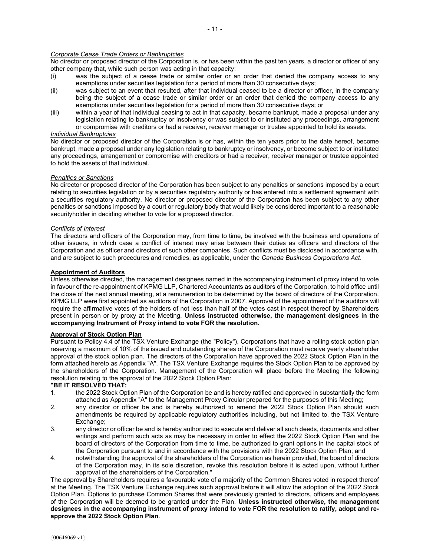#### Corporate Cease Trade Orders or Bankruptcies

No director or proposed director of the Corporation is, or has been within the past ten years, a director or officer of any other company that, while such person was acting in that capacity:

- (i) was the subject of a cease trade or similar order or an order that denied the company access to any exemptions under securities legislation for a period of more than 30 consecutive days;
- (ii) was subject to an event that resulted, after that individual ceased to be a director or officer, in the company being the subject of a cease trade or similar order or an order that denied the company access to any exemptions under securities legislation for a period of more than 30 consecutive days; or
- (iii) within a year of that individual ceasing to act in that capacity, became bankrupt, made a proposal under any legislation relating to bankruptcy or insolvency or was subject to or instituted any proceedings, arrangement or compromise with creditors or had a receiver, receiver manager or trustee appointed to hold its assets.

#### Individual Bankruptcies

No director or proposed director of the Corporation is or has, within the ten years prior to the date hereof, become bankrupt, made a proposal under any legislation relating to bankruptcy or insolvency, or become subject to or instituted any proceedings, arrangement or compromise with creditors or had a receiver, receiver manager or trustee appointed to hold the assets of that individual.

#### Penalties or Sanctions

No director or proposed director of the Corporation has been subject to any penalties or sanctions imposed by a court relating to securities legislation or by a securities regulatory authority or has entered into a settlement agreement with a securities regulatory authority. No director or proposed director of the Corporation has been subject to any other penalties or sanctions imposed by a court or regulatory body that would likely be considered important to a reasonable securityholder in deciding whether to vote for a proposed director.

#### Conflicts of Interest

The directors and officers of the Corporation may, from time to time, be involved with the business and operations of other issuers, in which case a conflict of interest may arise between their duties as officers and directors of the Corporation and as officer and directors of such other companies. Such conflicts must be disclosed in accordance with, and are subject to such procedures and remedies, as applicable, under the Canada Business Corporations Act.

#### Appointment of Auditors

Unless otherwise directed, the management designees named in the accompanying instrument of proxy intend to vote in favour of the re-appointment of KPMG LLP, Chartered Accountants as auditors of the Corporation, to hold office until the close of the next annual meeting, at a remuneration to be determined by the board of directors of the Corporation. KPMG LLP were first appointed as auditors of the Corporation in 2007. Approval of the appointment of the auditors will require the affirmative votes of the holders of not less than half of the votes cast in respect thereof by Shareholders present in person or by proxy at the Meeting. Unless instructed otherwise, the management designees in the accompanying Instrument of Proxy intend to vote FOR the resolution.

#### Approval of Stock Option Plan

Pursuant to Policy 4.4 of the TSX Venture Exchange (the "Policy"), Corporations that have a rolling stock option plan reserving a maximum of 10% of the issued and outstanding shares of the Corporation must receive yearly shareholder approval of the stock option plan. The directors of the Corporation have approved the 2022 Stock Option Plan in the form attached hereto as Appendix "A". The TSX Venture Exchange requires the Stock Option Plan to be approved by the shareholders of the Corporation. Management of the Corporation will place before the Meeting the following resolution relating to the approval of the 2022 Stock Option Plan:

#### "BE IT RESOLVED THAT:

- 1. the 2022 Stock Option Plan of the Corporation be and is hereby ratified and approved in substantially the form attached as Appendix "A" to the Management Proxy Circular prepared for the purposes of this Meeting;
- 2. any director or officer be and is hereby authorized to amend the 2022 Stock Option Plan should such amendments be required by applicable regulatory authorities including, but not limited to, the TSX Venture Exchange;
- 3. any director or officer be and is hereby authorized to execute and deliver all such deeds, documents and other writings and perform such acts as may be necessary in order to effect the 2022 Stock Option Plan and the board of directors of the Corporation from time to time, be authorized to grant options in the capital stock of the Corporation pursuant to and in accordance with the provisions with the 2022 Stock Option Plan; and
- 4. notwithstanding the approval of the shareholders of the Corporation as herein provided, the board of directors of the Corporation may, in its sole discretion, revoke this resolution before it is acted upon, without further approval of the shareholders of the Corporation."

The approval by Shareholders requires a favourable vote of a majority of the Common Shares voted in respect thereof at the Meeting. The TSX Venture Exchange requires such approval before it will allow the adoption of the 2022 Stock Option Plan. Options to purchase Common Shares that were previously granted to directors, officers and employees of the Corporation will be deemed to be granted under the Plan. Unless instructed otherwise, the management designees in the accompanying instrument of proxy intend to vote FOR the resolution to ratify, adopt and reapprove the 2022 Stock Option Plan.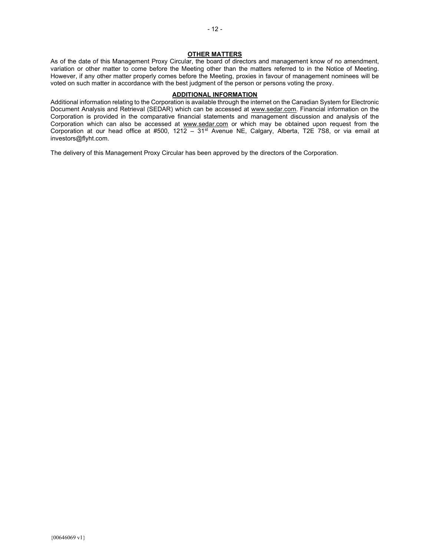#### **OTHER MATTERS**

As of the date of this Management Proxy Circular, the board of directors and management know of no amendment, variation or other matter to come before the Meeting other than the matters referred to in the Notice of Meeting. However, if any other matter properly comes before the Meeting, proxies in favour of management nominees will be voted on such matter in accordance with the best judgment of the person or persons voting the proxy.

#### ADDITIONAL INFORMATION

Additional information relating to the Corporation is available through the internet on the Canadian System for Electronic Document Analysis and Retrieval (SEDAR) which can be accessed at www.sedar.com. Financial information on the Corporation is provided in the comparative financial statements and management discussion and analysis of the Corporation which can also be accessed at www.sedar.com or which may be obtained upon request from the Corporation at our head office at #500, 121 $\overline{2}$  – 31<sup>st</sup> Avenue NE, Calgary, Alberta, T2E 7S8, or via email at investors@flyht.com.

The delivery of this Management Proxy Circular has been approved by the directors of the Corporation.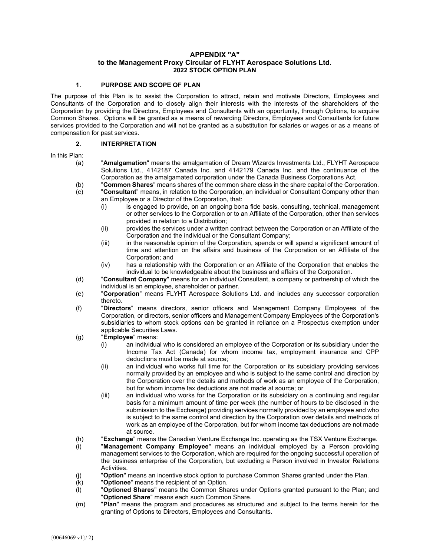# APPENDIX "A" to the Management Proxy Circular of FLYHT Aerospace Solutions Ltd. 2022 STOCK OPTION PLAN

#### 1. PURPOSE AND SCOPE OF PLAN

The purpose of this Plan is to assist the Corporation to attract, retain and motivate Directors, Employees and Consultants of the Corporation and to closely align their interests with the interests of the shareholders of the Corporation by providing the Directors, Employees and Consultants with an opportunity, through Options, to acquire Common Shares. Options will be granted as a means of rewarding Directors, Employees and Consultants for future services provided to the Corporation and will not be granted as a substitution for salaries or wages or as a means of compensation for past services.

# 2. INTERPRETATION

In this Plan:

- (a) "Amalgamation" means the amalgamation of Dream Wizards Investments Ltd., FLYHT Aerospace Solutions Ltd., 4142187 Canada Inc. and 4142179 Canada Inc. and the continuance of the Corporation as the amalgamated corporation under the Canada Business Corporations Act.
- (b) "Common Shares" means shares of the common share class in the share capital of the Corporation.
- (c) "Consultant" means, in relation to the Corporation, an individual or Consultant Company other than an Employee or a Director of the Corporation, that:
	- (i) is engaged to provide, on an ongoing bona fide basis, consulting, technical, management or other services to the Corporation or to an Affiliate of the Corporation, other than services provided in relation to a Distribution;
	- (ii) provides the services under a written contract between the Corporation or an Affiliate of the Corporation and the individual or the Consultant Company;
	- (iii) in the reasonable opinion of the Corporation, spends or will spend a significant amount of time and attention on the affairs and business of the Corporation or an Affiliate of the Corporation; and
	- (iv) has a relationship with the Corporation or an Affiliate of the Corporation that enables the individual to be knowledgeable about the business and affairs of the Corporation.
- (d) "Consultant Company" means for an individual Consultant, a company or partnership of which the individual is an employee, shareholder or partner.
- (e) "Corporation" means FLYHT Aerospace Solutions Ltd. and includes any successor corporation thereto.
- (f) "Directors" means directors, senior officers and Management Company Employees of the Corporation, or directors, senior officers and Management Company Employees of the Corporation's subsidiaries to whom stock options can be granted in reliance on a Prospectus exemption under applicable Securities Laws.
- (g) "Employee" means:
	- (i) an individual who is considered an employee of the Corporation or its subsidiary under the Income Tax Act (Canada) for whom income tax, employment insurance and CPP deductions must be made at source;
	- (ii) an individual who works full time for the Corporation or its subsidiary providing services normally provided by an employee and who is subject to the same control and direction by the Corporation over the details and methods of work as an employee of the Corporation, but for whom income tax deductions are not made at source; or
	- (iii) an individual who works for the Corporation or its subsidiary on a continuing and regular basis for a minimum amount of time per week (the number of hours to be disclosed in the submission to the Exchange) providing services normally provided by an employee and who is subject to the same control and direction by the Corporation over details and methods of work as an employee of the Corporation, but for whom income tax deductions are not made at source.
- (h) "Exchange" means the Canadian Venture Exchange Inc. operating as the TSX Venture Exchange.
- (i) "Management Company Employee" means an individual employed by a Person providing management services to the Corporation, which are required for the ongoing successful operation of the business enterprise of the Corporation, but excluding a Person involved in Investor Relations **Activities**
- (j) "Option" means an incentive stock option to purchase Common Shares granted under the Plan.
- (k) "Optionee" means the recipient of an Option.
- $(1)$  "Optioned Shares" means the Common Shares under Options granted pursuant to the Plan; and "Optioned Share" means each such Common Share.
- (m) **"Plan"** means the program and procedures as structured and subject to the terms herein for the granting of Options to Directors, Employees and Consultants.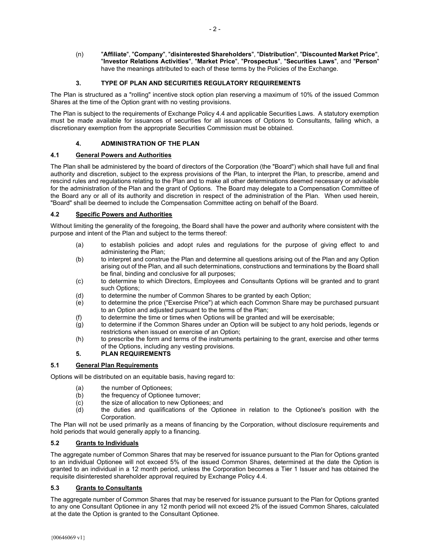(n) "Affiliate", "Company", "disinterested Shareholders", "Distribution", "Discounted Market Price", "Investor Relations Activities", "Market Price", "Prospectus", "Securities Laws", and "Person" have the meanings attributed to each of these terms by the Policies of the Exchange.

# 3. TYPE OF PLAN AND SECURITIES REGULATORY REQUIREMENTS

The Plan is structured as a "rolling" incentive stock option plan reserving a maximum of 10% of the issued Common Shares at the time of the Option grant with no vesting provisions.

The Plan is subject to the requirements of Exchange Policy 4.4 and applicable Securities Laws. A statutory exemption must be made available for issuances of securities for all issuances of Options to Consultants, failing which, a discretionary exemption from the appropriate Securities Commission must be obtained.

# 4. ADMINISTRATION OF THE PLAN

# 4.1 General Powers and Authorities

The Plan shall be administered by the board of directors of the Corporation (the "Board") which shall have full and final authority and discretion, subject to the express provisions of the Plan, to interpret the Plan, to prescribe, amend and rescind rules and regulations relating to the Plan and to make all other determinations deemed necessary or advisable for the administration of the Plan and the grant of Options. The Board may delegate to a Compensation Committee of the Board any or all of its authority and discretion in respect of the administration of the Plan. When used herein, "Board" shall be deemed to include the Compensation Committee acting on behalf of the Board.

# 4.2 Specific Powers and Authorities

Without limiting the generality of the foregoing, the Board shall have the power and authority where consistent with the purpose and intent of the Plan and subject to the terms thereof:

- (a) to establish policies and adopt rules and regulations for the purpose of giving effect to and administering the Plan;
- (b) to interpret and construe the Plan and determine all questions arising out of the Plan and any Option arising out of the Plan, and all such determinations, constructions and terminations by the Board shall be final, binding and conclusive for all purposes;
- (c) to determine to which Directors, Employees and Consultants Options will be granted and to grant such Options;
- (d) to determine the number of Common Shares to be granted by each Option;
- (e) to determine the price ("Exercise Price") at which each Common Share may be purchased pursuant to an Option and adjusted pursuant to the terms of the Plan;
- (f) to determine the time or times when Options will be granted and will be exercisable;
- (g) to determine if the Common Shares under an Option will be subject to any hold periods, legends or restrictions when issued on exercise of an Option;
- (h) to prescribe the form and terms of the instruments pertaining to the grant, exercise and other terms of the Options, including any vesting provisions.

# 5. PLAN REQUIREMENTS

#### 5.1 General Plan Requirements

Options will be distributed on an equitable basis, having regard to:

- (a) the number of Optionees;
- (b) the frequency of Optionee turnover;
- (c) the size of allocation to new Optionees; and
- (d) the duties and qualifications of the Optionee in relation to the Optionee's position with the Corporation.

The Plan will not be used primarily as a means of financing by the Corporation, without disclosure requirements and hold periods that would generally apply to a financing.

# 5.2 Grants to Individuals

The aggregate number of Common Shares that may be reserved for issuance pursuant to the Plan for Options granted to an individual Optionee will not exceed 5% of the issued Common Shares, determined at the date the Option is granted to an individual in a 12 month period, unless the Corporation becomes a Tier 1 Issuer and has obtained the requisite disinterested shareholder approval required by Exchange Policy 4.4.

# 5.3 Grants to Consultants

The aggregate number of Common Shares that may be reserved for issuance pursuant to the Plan for Options granted to any one Consultant Optionee in any 12 month period will not exceed 2% of the issued Common Shares, calculated at the date the Option is granted to the Consultant Optionee.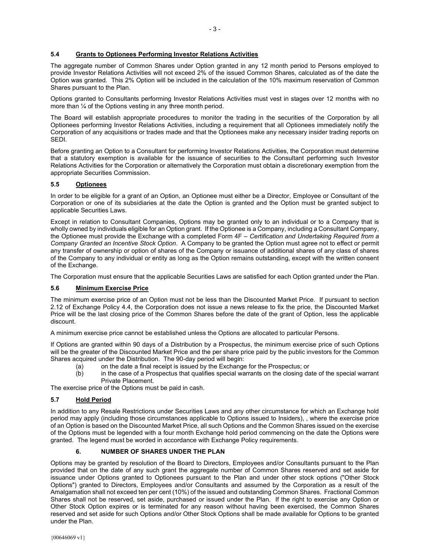# 5.4 Grants to Optionees Performing Investor Relations Activities

The aggregate number of Common Shares under Option granted in any 12 month period to Persons employed to provide Investor Relations Activities will not exceed 2% of the issued Common Shares, calculated as of the date the Option was granted. This 2% Option will be included in the calculation of the 10% maximum reservation of Common Shares pursuant to the Plan.

Options granted to Consultants performing Investor Relations Activities must vest in stages over 12 months with no more than  $\frac{1}{4}$  of the Options vesting in any three month period.

The Board will establish appropriate procedures to monitor the trading in the securities of the Corporation by all Optionees performing Investor Relations Activities, including a requirement that all Optionees immediately notify the Corporation of any acquisitions or trades made and that the Optionees make any necessary insider trading reports on SEDI.

Before granting an Option to a Consultant for performing Investor Relations Activities, the Corporation must determine that a statutory exemption is available for the issuance of securities to the Consultant performing such Investor Relations Activities for the Corporation or alternatively the Corporation must obtain a discretionary exemption from the appropriate Securities Commission.

# 5.5 Optionees

In order to be eligible for a grant of an Option, an Optionee must either be a Director, Employee or Consultant of the Corporation or one of its subsidiaries at the date the Option is granted and the Option must be granted subject to applicable Securities Laws.

Except in relation to Consultant Companies, Options may be granted only to an individual or to a Company that is wholly owned by individuals eligible for an Option grant. If the Optionee is a Company, including a Consultant Company, the Optionee must provide the Exchange with a completed Form 4F – Certification and Undertaking Required from a Company Granted an Incentive Stock Option. A Company to be granted the Option must agree not to effect or permit any transfer of ownership or option of shares of the Company or issuance of additional shares of any class of shares of the Company to any individual or entity as long as the Option remains outstanding, except with the written consent of the Exchange.

The Corporation must ensure that the applicable Securities Laws are satisfied for each Option granted under the Plan.

#### 5.6 Minimum Exercise Price

The minimum exercise price of an Option must not be less than the Discounted Market Price. If pursuant to section 2.12 of Exchange Policy 4.4, the Corporation does not issue a news release to fix the price, the Discounted Market Price will be the last closing price of the Common Shares before the date of the grant of Option, less the applicable discount.

A minimum exercise price cannot be established unless the Options are allocated to particular Persons.

If Options are granted within 90 days of a Distribution by a Prospectus, the minimum exercise price of such Options will be the greater of the Discounted Market Price and the per share price paid by the public investors for the Common Shares acquired under the Distribution. The 90-day period will begin:

- (a) on the date a final receipt is issued by the Exchange for the Prospectus; or
- (b) in the case of a Prospectus that qualifies special warrants on the closing date of the special warrant Private Placement.

The exercise price of the Options must be paid in cash.

#### 5.7 Hold Period

In addition to any Resale Restrictions under Securities Laws and any other circumstance for which an Exchange hold period may apply (including those circumstances applicable to Options issued to Insiders), , where the exercise price of an Option is based on the Discounted Market Price, all such Options and the Common Shares issued on the exercise of the Options must be legended with a four month Exchange hold period commencing on the date the Options were granted. The legend must be worded in accordance with Exchange Policy requirements.

#### 6. NUMBER OF SHARES UNDER THE PLAN

Options may be granted by resolution of the Board to Directors, Employees and/or Consultants pursuant to the Plan provided that on the date of any such grant the aggregate number of Common Shares reserved and set aside for issuance under Options granted to Optionees pursuant to the Plan and under other stock options ("Other Stock Options") granted to Directors, Employees and/or Consultants and assumed by the Corporation as a result of the Amalgamation shall not exceed ten per cent (10%) of the issued and outstanding Common Shares. Fractional Common Shares shall not be reserved, set aside, purchased or issued under the Plan. If the right to exercise any Option or Other Stock Option expires or is terminated for any reason without having been exercised, the Common Shares reserved and set aside for such Options and/or Other Stock Options shall be made available for Options to be granted under the Plan.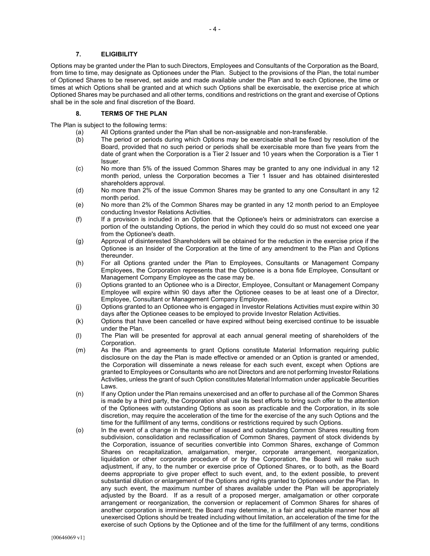#### 7. ELIGIBILITY

Options may be granted under the Plan to such Directors, Employees and Consultants of the Corporation as the Board, from time to time, may designate as Optionees under the Plan. Subject to the provisions of the Plan, the total number of Optioned Shares to be reserved, set aside and made available under the Plan and to each Optionee, the time or times at which Options shall be granted and at which such Options shall be exercisable, the exercise price at which Optioned Shares may be purchased and all other terms, conditions and restrictions on the grant and exercise of Options shall be in the sole and final discretion of the Board.

#### 8. TERMS OF THE PLAN

The Plan is subject to the following terms:

- (a) All Options granted under the Plan shall be non-assignable and non-transferable.
	- (b) The period or periods during which Options may be exercisable shall be fixed by resolution of the Board, provided that no such period or periods shall be exercisable more than five years from the date of grant when the Corporation is a Tier 2 Issuer and 10 years when the Corporation is a Tier 1 Issuer.
	- (c) No more than 5% of the issued Common Shares may be granted to any one individual in any 12 month period, unless the Corporation becomes a Tier 1 Issuer and has obtained disinterested shareholders approval.
	- (d) No more than 2% of the issue Common Shares may be granted to any one Consultant in any 12 month period.
	- (e) No more than 2% of the Common Shares may be granted in any 12 month period to an Employee conducting Investor Relations Activities.
	- (f) If a provision is included in an Option that the Optionee's heirs or administrators can exercise a portion of the outstanding Options, the period in which they could do so must not exceed one year from the Optionee's death.
	- (g) Approval of disinterested Shareholders will be obtained for the reduction in the exercise price if the Optionee is an Insider of the Corporation at the time of any amendment to the Plan and Options thereunder.
	- (h) For all Options granted under the Plan to Employees, Consultants or Management Company Employees, the Corporation represents that the Optionee is a bona fide Employee, Consultant or Management Company Employee as the case may be.
	- (i) Options granted to an Optionee who is a Director, Employee, Consultant or Management Company Employee will expire within 90 days after the Optionee ceases to be at least one of a Director, Employee, Consultant or Management Company Employee.
	- (j) Options granted to an Optionee who is engaged in Investor Relations Activities must expire within 30 days after the Optionee ceases to be employed to provide Investor Relation Activities.
	- (k) Options that have been cancelled or have expired without being exercised continue to be issuable under the Plan.
	- (l) The Plan will be presented for approval at each annual general meeting of shareholders of the Corporation.
	- (m) As the Plan and agreements to grant Options constitute Material Information requiring public disclosure on the day the Plan is made effective or amended or an Option is granted or amended, the Corporation will disseminate a news release for each such event, except when Options are granted to Employees or Consultants who are not Directors and are not performing Investor Relations Activities, unless the grant of such Option constitutes Material Information under applicable Securities Laws.
	- (n) If any Option under the Plan remains unexercised and an offer to purchase all of the Common Shares is made by a third party, the Corporation shall use its best efforts to bring such offer to the attention of the Optionees with outstanding Options as soon as practicable and the Corporation, in its sole discretion, may require the acceleration of the time for the exercise of the any such Options and the time for the fulfillment of any terms, conditions or restrictions required by such Options.
- (o) In the event of a change in the number of issued and outstanding Common Shares resulting from subdivision, consolidation and reclassification of Common Shares, payment of stock dividends by the Corporation, issuance of securities convertible into Common Shares, exchange of Common Shares on recapitalization, amalgamation, merger, corporate arrangement, reorganization, liquidation or other corporate procedure of or by the Corporation, the Board will make such adjustment, if any, to the number or exercise price of Optioned Shares, or to both, as the Board deems appropriate to give proper effect to such event, and, to the extent possible, to prevent substantial dilution or enlargement of the Options and rights granted to Optionees under the Plan. In any such event, the maximum number of shares available under the Plan will be appropriately adjusted by the Board. If as a result of a proposed merger, amalgamation or other corporate arrangement or reorganization, the conversion or replacement of Common Shares for shares of another corporation is imminent; the Board may determine, in a fair and equitable manner how all unexercised Options should be treated including without limitation, an acceleration of the time for the exercise of such Options by the Optionee and of the time for the fulfillment of any terms, conditions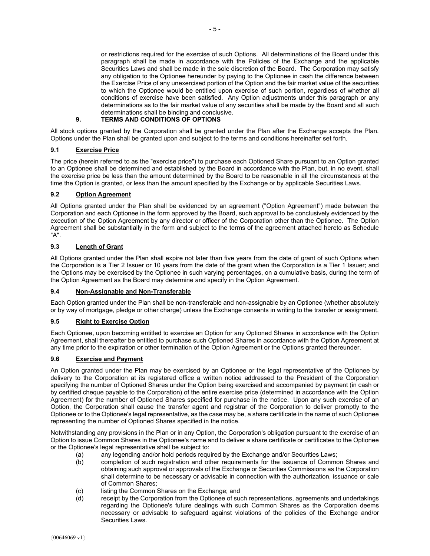or restrictions required for the exercise of such Options. All determinations of the Board under this paragraph shall be made in accordance with the Policies of the Exchange and the applicable Securities Laws and shall be made in the sole discretion of the Board. The Corporation may satisfy any obligation to the Optionee hereunder by paying to the Optionee in cash the difference between the Exercise Price of any unexercised portion of the Option and the fair market value of the securities to which the Optionee would be entitled upon exercise of such portion, regardless of whether all conditions of exercise have been satisfied. Any Option adjustments under this paragraph or any determinations as to the fair market value of any securities shall be made by the Board and all such determinations shall be binding and conclusive.

# 9. TERMS AND CONDITIONS OF OPTIONS

All stock options granted by the Corporation shall be granted under the Plan after the Exchange accepts the Plan. Options under the Plan shall be granted upon and subject to the terms and conditions hereinafter set forth.

#### 9.1 Exercise Price

The price (herein referred to as the "exercise price") to purchase each Optioned Share pursuant to an Option granted to an Optionee shall be determined and established by the Board in accordance with the Plan, but, in no event, shall the exercise price be less than the amount determined by the Board to be reasonable in all the circumstances at the time the Option is granted, or less than the amount specified by the Exchange or by applicable Securities Laws.

# 9.2 Option Agreement

All Options granted under the Plan shall be evidenced by an agreement ("Option Agreement") made between the Corporation and each Optionee in the form approved by the Board, such approval to be conclusively evidenced by the execution of the Option Agreement by any director or officer of the Corporation other than the Optionee. The Option Agreement shall be substantially in the form and subject to the terms of the agreement attached hereto as Schedule "A".

# 9.3 Length of Grant

All Options granted under the Plan shall expire not later than five years from the date of grant of such Options when the Corporation is a Tier 2 Issuer or 10 years from the date of the grant when the Corporation is a Tier 1 Issuer; and the Options may be exercised by the Optionee in such varying percentages, on a cumulative basis, during the term of the Option Agreement as the Board may determine and specify in the Option Agreement.

#### 9.4 Non-Assignable and Non-Transferable

Each Option granted under the Plan shall be non-transferable and non-assignable by an Optionee (whether absolutely or by way of mortgage, pledge or other charge) unless the Exchange consents in writing to the transfer or assignment.

#### 9.5 Right to Exercise Option

Each Optionee, upon becoming entitled to exercise an Option for any Optioned Shares in accordance with the Option Agreement, shall thereafter be entitled to purchase such Optioned Shares in accordance with the Option Agreement at any time prior to the expiration or other termination of the Option Agreement or the Options granted thereunder.

# 9.6 Exercise and Payment

An Option granted under the Plan may be exercised by an Optionee or the legal representative of the Optionee by delivery to the Corporation at its registered office a written notice addressed to the President of the Corporation specifying the number of Optioned Shares under the Option being exercised and accompanied by payment (in cash or by certified cheque payable to the Corporation) of the entire exercise price (determined in accordance with the Option Agreement) for the number of Optioned Shares specified for purchase in the notice. Upon any such exercise of an Option, the Corporation shall cause the transfer agent and registrar of the Corporation to deliver promptly to the Optionee or to the Optionee's legal representative, as the case may be, a share certificate in the name of such Optionee representing the number of Optioned Shares specified in the notice.

Notwithstanding any provisions in the Plan or in any Option, the Corporation's obligation pursuant to the exercise of an Option to issue Common Shares in the Optionee's name and to deliver a share certificate or certificates to the Optionee or the Optionee's legal representative shall be subject to:

- (a) any legending and/or hold periods required by the Exchange and/or Securities Laws;
- (b) completion of such registration and other requirements for the issuance of Common Shares and obtaining such approval or approvals of the Exchange or Securities Commissions as the Corporation shall determine to be necessary or advisable in connection with the authorization, issuance or sale of Common Shares;
- (c) listing the Common Shares on the Exchange; and
- (d) receipt by the Corporation from the Optionee of such representations, agreements and undertakings regarding the Optionee's future dealings with such Common Shares as the Corporation deems necessary or advisable to safeguard against violations of the policies of the Exchange and/or Securities Laws.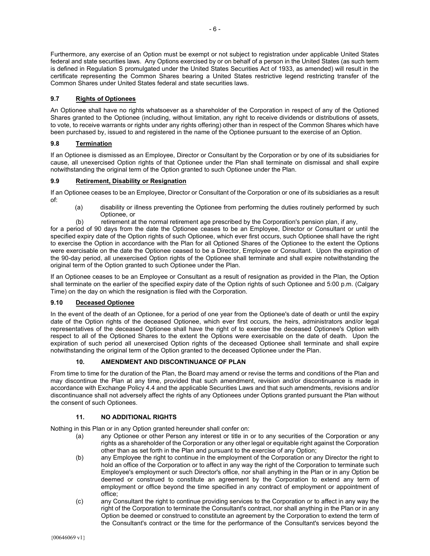Furthermore, any exercise of an Option must be exempt or not subject to registration under applicable United States federal and state securities laws. Any Options exercised by or on behalf of a person in the United States (as such term is defined in Regulation S promulgated under the United States Securities Act of 1933, as amended) will result in the certificate representing the Common Shares bearing a United States restrictive legend restricting transfer of the Common Shares under United States federal and state securities laws.

# 9.7 Rights of Optionees

An Optionee shall have no rights whatsoever as a shareholder of the Corporation in respect of any of the Optioned Shares granted to the Optionee (including, without limitation, any right to receive dividends or distributions of assets, to vote, to receive warrants or rights under any rights offering) other than in respect of the Common Shares which have been purchased by, issued to and registered in the name of the Optionee pursuant to the exercise of an Option.

# 9.8 Termination

If an Optionee is dismissed as an Employee, Director or Consultant by the Corporation or by one of its subsidiaries for cause, all unexercised Option rights of that Optionee under the Plan shall terminate on dismissal and shall expire notwithstanding the original term of the Option granted to such Optionee under the Plan.

# 9.9 Retirement, Disability or Resignation

If an Optionee ceases to be an Employee, Director or Consultant of the Corporation or one of its subsidiaries as a result of:

- (a) disability or illness preventing the Optionee from performing the duties routinely performed by such Optionee, or
- (b) retirement at the normal retirement age prescribed by the Corporation's pension plan, if any,

for a period of 90 days from the date the Optionee ceases to be an Employee, Director or Consultant or until the specified expiry date of the Option rights of such Optionee, which ever first occurs, such Optionee shall have the right to exercise the Option in accordance with the Plan for all Optioned Shares of the Optionee to the extent the Options were exercisable on the date the Optionee ceased to be a Director, Employee or Consultant. Upon the expiration of the 90-day period, all unexercised Option rights of the Optionee shall terminate and shall expire notwithstanding the original term of the Option granted to such Optionee under the Plan.

If an Optionee ceases to be an Employee or Consultant as a result of resignation as provided in the Plan, the Option shall terminate on the earlier of the specified expiry date of the Option rights of such Optionee and 5:00 p.m. (Calgary Time) on the day on which the resignation is filed with the Corporation.

# 9.10 Deceased Optionee

In the event of the death of an Optionee, for a period of one year from the Optionee's date of death or until the expiry date of the Option rights of the deceased Optionee, which ever first occurs, the heirs, administrators and/or legal representatives of the deceased Optionee shall have the right of to exercise the deceased Optionee's Option with respect to all of the Optioned Shares to the extent the Options were exercisable on the date of death. Upon the expiration of such period all unexercised Option rights of the deceased Optionee shall terminate and shall expire notwithstanding the original term of the Option granted to the deceased Optionee under the Plan.

# 10. AMENDMENT AND DISCONTINUANCE OF PLAN

From time to time for the duration of the Plan, the Board may amend or revise the terms and conditions of the Plan and may discontinue the Plan at any time, provided that such amendment, revision and/or discontinuance is made in accordance with Exchange Policy 4.4 and the applicable Securities Laws and that such amendments, revisions and/or discontinuance shall not adversely affect the rights of any Optionees under Options granted pursuant the Plan without the consent of such Optionees.

# 11. NO ADDITIONAL RIGHTS

Nothing in this Plan or in any Option granted hereunder shall confer on:

- (a) any Optionee or other Person any interest or title in or to any securities of the Corporation or any rights as a shareholder of the Corporation or any other legal or equitable right against the Corporation other than as set forth in the Plan and pursuant to the exercise of any Option;
- (b) any Employee the right to continue in the employment of the Corporation or any Director the right to hold an office of the Corporation or to affect in any way the right of the Corporation to terminate such Employee's employment or such Director's office, nor shall anything in the Plan or in any Option be deemed or construed to constitute an agreement by the Corporation to extend any term of employment or office beyond the time specified in any contract of employment or appointment of office;
- (c) any Consultant the right to continue providing services to the Corporation or to affect in any way the right of the Corporation to terminate the Consultant's contract, nor shall anything in the Plan or in any Option be deemed or construed to constitute an agreement by the Corporation to extend the term of the Consultant's contract or the time for the performance of the Consultant's services beyond the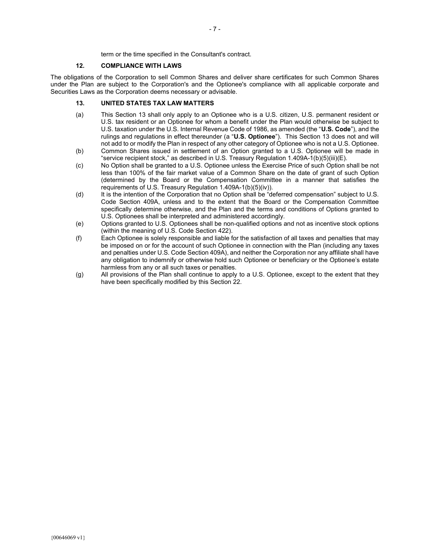term or the time specified in the Consultant's contract.

#### 12. COMPLIANCE WITH LAWS

The obligations of the Corporation to sell Common Shares and deliver share certificates for such Common Shares under the Plan are subject to the Corporation's and the Optionee's compliance with all applicable corporate and Securities Laws as the Corporation deems necessary or advisable.

# 13. UNITED STATES TAX LAW MATTERS

- (a) This Section 13 shall only apply to an Optionee who is a U.S. citizen, U.S. permanent resident or U.S. tax resident or an Optionee for whom a benefit under the Plan would otherwise be subject to U.S. taxation under the U.S. Internal Revenue Code of 1986, as amended (the "U.S. Code"), and the rulings and regulations in effect thereunder (a "U.S. Optionee"). This Section 13 does not and will not add to or modify the Plan in respect of any other category of Optionee who is not a U.S. Optionee.
- (b) Common Shares issued in settlement of an Option granted to a U.S. Optionee will be made in "service recipient stock," as described in U.S. Treasury Regulation 1.409A-1(b)(5)(iii)(E).
- (c) No Option shall be granted to a U.S. Optionee unless the Exercise Price of such Option shall be not less than 100% of the fair market value of a Common Share on the date of grant of such Option (determined by the Board or the Compensation Committee in a manner that satisfies the requirements of U.S. Treasury Regulation 1.409A-1(b)(5)(iv)).
- (d) It is the intention of the Corporation that no Option shall be "deferred compensation" subject to U.S. Code Section 409A, unless and to the extent that the Board or the Compensation Committee specifically determine otherwise, and the Plan and the terms and conditions of Options granted to U.S. Optionees shall be interpreted and administered accordingly.
- (e) Options granted to U.S. Optionees shall be non-qualified options and not as incentive stock options (within the meaning of U.S. Code Section 422).
- (f) Each Optionee is solely responsible and liable for the satisfaction of all taxes and penalties that may be imposed on or for the account of such Optionee in connection with the Plan (including any taxes and penalties under U.S. Code Section 409A), and neither the Corporation nor any affiliate shall have any obligation to indemnify or otherwise hold such Optionee or beneficiary or the Optionee's estate harmless from any or all such taxes or penalties.
- (g) All provisions of the Plan shall continue to apply to a U.S. Optionee, except to the extent that they have been specifically modified by this Section 22.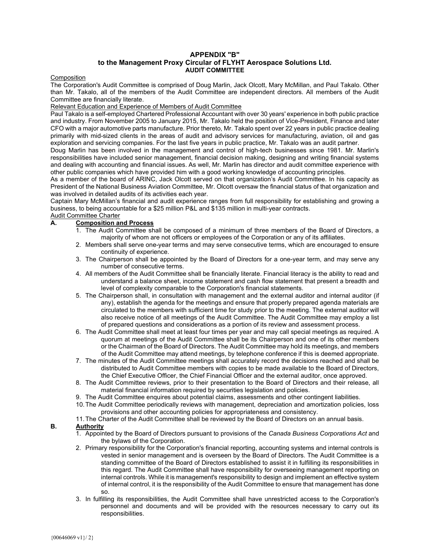#### APPENDIX "B" to the Management Proxy Circular of FLYHT Aerospace Solutions Ltd. AUDIT COMMITTEE

#### **Composition**

The Corporation's Audit Committee is comprised of Doug Marlin, Jack Olcott, Mary McMillan, and Paul Takalo. Other than Mr. Takalo, all of the members of the Audit Committee are independent directors. All members of the Audit Committee are financially literate.

#### Relevant Education and Experience of Members of Audit Committee

Paul Takalo is a self-employed Chartered Professional Accountant with over 30 years' experience in both public practice and industry. From November 2005 to January 2015, Mr. Takalo held the position of Vice-President, Finance and later CFO with a major automotive parts manufacture. Prior thereto, Mr. Takalo spent over 22 years in public practice dealing primarily with mid-sized clients in the areas of audit and advisory services for manufacturing, aviation, oil and gas exploration and servicing companies. For the last five years in public practice, Mr. Takalo was an audit partner.

Doug Marlin has been involved in the management and control of high-tech businesses since 1981. Mr. Marlin's responsibilities have included senior management, financial decision making, designing and writing financial systems and dealing with accounting and financial issues. As well, Mr. Marlin has director and audit committee experience with other public companies which have provided him with a good working knowledge of accounting principles.

As a member of the board of ARINC, Jack Olcott served on that organization's Audit Committee. In his capacity as President of the National Business Aviation Committee, Mr. Olcott oversaw the financial status of that organization and was involved in detailed audits of its activities each year.

Captain Mary McMillan's financial and audit experience ranges from full responsibility for establishing and growing a business, to being accountable for a \$25 million P&L and \$135 million in multi-year contracts.

#### Audit Committee Charter A. Composition and Process

- 1. The Audit Committee shall be composed of a minimum of three members of the Board of Directors, a majority of whom are not officers or employees of the Corporation or any of its affiliates.
	- 2. Members shall serve one-year terms and may serve consecutive terms, which are encouraged to ensure continuity of experience.
	- 3. The Chairperson shall be appointed by the Board of Directors for a one-year term, and may serve any number of consecutive terms.
	- 4. All members of the Audit Committee shall be financially literate. Financial literacy is the ability to read and understand a balance sheet, income statement and cash flow statement that present a breadth and level of complexity comparable to the Corporation's financial statements.
	- 5. The Chairperson shall, in consultation with management and the external auditor and internal auditor (if any), establish the agenda for the meetings and ensure that properly prepared agenda materials are circulated to the members with sufficient time for study prior to the meeting. The external auditor will also receive notice of all meetings of the Audit Committee. The Audit Committee may employ a list of prepared questions and considerations as a portion of its review and assessment process.
- 6. The Audit Committee shall meet at least four times per year and may call special meetings as required. A quorum at meetings of the Audit Committee shall be its Chairperson and one of its other members or the Chairman of the Board of Directors. The Audit Committee may hold its meetings, and members of the Audit Committee may attend meetings, by telephone conference if this is deemed appropriate.
- 7. The minutes of the Audit Committee meetings shall accurately record the decisions reached and shall be distributed to Audit Committee members with copies to be made available to the Board of Directors, the Chief Executive Officer, the Chief Financial Officer and the external auditor, once approved.
- 8. The Audit Committee reviews, prior to their presentation to the Board of Directors and their release, all material financial information required by securities legislation and policies.
- 9. The Audit Committee enquires about potential claims, assessments and other contingent liabilities.
- 10. The Audit Committee periodically reviews with management, depreciation and amortization policies, loss provisions and other accounting policies for appropriateness and consistency.
- 11. The Charter of the Audit Committee shall be reviewed by the Board of Directors on an annual basis.

# B. Authority

- 1. Appointed by the Board of Directors pursuant to provisions of the Canada Business Corporations Act and the bylaws of the Corporation.
- 2. Primary responsibility for the Corporation's financial reporting, accounting systems and internal controls is vested in senior management and is overseen by the Board of Directors. The Audit Committee is a standing committee of the Board of Directors established to assist it in fulfilling its responsibilities in this regard. The Audit Committee shall have responsibility for overseeing management reporting on internal controls. While it is management's responsibility to design and implement an effective system of internal control, it is the responsibility of the Audit Committee to ensure that management has done so.
- 3. In fulfilling its responsibilities, the Audit Committee shall have unrestricted access to the Corporation's personnel and documents and will be provided with the resources necessary to carry out its responsibilities.

{00646069 v1}/ 2}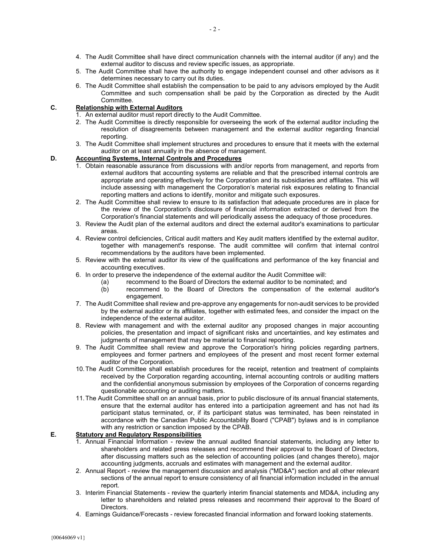- 4. The Audit Committee shall have direct communication channels with the internal auditor (if any) and the external auditor to discuss and review specific issues, as appropriate.
- 5. The Audit Committee shall have the authority to engage independent counsel and other advisors as it determines necessary to carry out its duties.
- 6. The Audit Committee shall establish the compensation to be paid to any advisors employed by the Audit Committee and such compensation shall be paid by the Corporation as directed by the Audit Committee.

# C. Relationship with External Auditors

- 1. An external auditor must report directly to the Audit Committee.
- 2. The Audit Committee is directly responsible for overseeing the work of the external auditor including the resolution of disagreements between management and the external auditor regarding financial reporting.
- 3. The Audit Committee shall implement structures and procedures to ensure that it meets with the external auditor on at least annually in the absence of management.

# D. Accounting Systems, Internal Controls and Procedures

- 1. Obtain reasonable assurance from discussions with and/or reports from management, and reports from external auditors that accounting systems are reliable and that the prescribed internal controls are appropriate and operating effectively for the Corporation and its subsidiaries and affiliates. This will include assessing with management the Corporation's material risk exposures relating to financial reporting matters and actions to identify, monitor and mitigate such exposures.
- 2. The Audit Committee shall review to ensure to its satisfaction that adequate procedures are in place for the review of the Corporation's disclosure of financial information extracted or derived from the Corporation's financial statements and will periodically assess the adequacy of those procedures.
- 3. Review the Audit plan of the external auditors and direct the external auditor's examinations to particular areas.
- 4. Review control deficiencies, Critical audit matters and Key audit matters identified by the external auditor, together with management's response. The audit committee will confirm that internal control recommendations by the auditors have been implemented.
- 5. Review with the external auditor its view of the qualifications and performance of the key financial and accounting executives.
- 6. In order to preserve the independence of the external auditor the Audit Committee will:
	- (a) recommend to the Board of Directors the external auditor to be nominated; and
	- (b) recommend to the Board of Directors the compensation of the external auditor's engagement.
- 7. The Audit Committee shall review and pre-approve any engagements for non-audit services to be provided by the external auditor or its affiliates, together with estimated fees, and consider the impact on the independence of the external auditor.
- 8. Review with management and with the external auditor any proposed changes in major accounting policies, the presentation and impact of significant risks and uncertainties, and key estimates and judgments of management that may be material to financial reporting.
- 9. The Audit Committee shall review and approve the Corporation's hiring policies regarding partners, employees and former partners and employees of the present and most recent former external auditor of the Corporation.
- 10. The Audit Committee shall establish procedures for the receipt, retention and treatment of complaints received by the Corporation regarding accounting, internal accounting controls or auditing matters and the confidential anonymous submission by employees of the Corporation of concerns regarding questionable accounting or auditing matters.
- 11. The Audit Committee shall on an annual basis, prior to public disclosure of its annual financial statements, ensure that the external auditor has entered into a participation agreement and has not had its participant status terminated, or, if its participant status was terminated, has been reinstated in accordance with the Canadian Public Accountability Board ("CPAB") bylaws and is in compliance with any restriction or sanction imposed by the CPAB.

# E. Statutory and Regulatory Responsibilities

- 1. Annual Financial Information review the annual audited financial statements, including any letter to shareholders and related press releases and recommend their approval to the Board of Directors, after discussing matters such as the selection of accounting policies (and changes thereto), major accounting judgments, accruals and estimates with management and the external auditor.
- 2. Annual Report review the management discussion and analysis ("MD&A") section and all other relevant sections of the annual report to ensure consistency of all financial information included in the annual report.
- 3. Interim Financial Statements review the quarterly interim financial statements and MD&A, including any letter to shareholders and related press releases and recommend their approval to the Board of Directors.
- 4. Earnings Guidance/Forecasts review forecasted financial information and forward looking statements.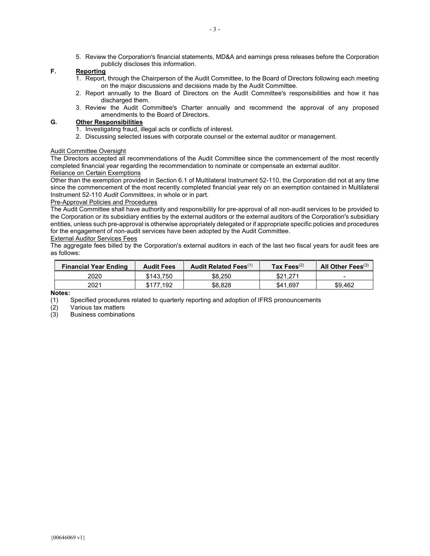5. Review the Corporation's financial statements, MD&A and earnings press releases before the Corporation publicly discloses this information.

#### F. Reporting

- 1. Report, through the Chairperson of the Audit Committee, to the Board of Directors following each meeting on the major discussions and decisions made by the Audit Committee.
- 2. Report annually to the Board of Directors on the Audit Committee's responsibilities and how it has discharged them.
- 3. Review the Audit Committee's Charter annually and recommend the approval of any proposed amendments to the Board of Directors.

#### G. Other Responsibilities

- 1. Investigating fraud, illegal acts or conflicts of interest.
- 2. Discussing selected issues with corporate counsel or the external auditor or management.

#### Audit Committee Oversight

The Directors accepted all recommendations of the Audit Committee since the commencement of the most recently completed financial year regarding the recommendation to nominate or compensate an external auditor. Reliance on Certain Exemptions

#### Other than the exemption provided in Section 6.1 of Multilateral Instrument 52-110, the Corporation did not at any time since the commencement of the most recently completed financial year rely on an exemption contained in Multilateral Instrument 52-110 Audit Committees, in whole or in part.

#### Pre-Approval Policies and Procedures

The Audit Committee shall have authority and responsibility for pre-approval of all non-audit services to be provided to the Corporation or its subsidiary entities by the external auditors or the external auditors of the Corporation's subsidiary entities, unless such pre-approval is otherwise appropriately delegated or if appropriate specific policies and procedures for the engagement of non-audit services have been adopted by the Audit Committee.

#### External Auditor Services Fees

The aggregate fees billed by the Corporation's external auditors in each of the last two fiscal years for audit fees are as follows:

| <b>Financial Year Ending</b> | <b>Audit Fees</b> | Audit Related Fees <sup>(1)</sup> | Tax Fees $(2)$ | All Other Fees <sup>(3)</sup> |
|------------------------------|-------------------|-----------------------------------|----------------|-------------------------------|
| 2020                         | \$143.750         | \$8.250                           | \$21.271       | -                             |
| 2021                         | \$177.192         | \$8.828                           | \$41.697       | \$9.462                       |

#### Notes:

(1) Specified procedures related to quarterly reporting and adoption of IFRS pronouncements

(2) Various tax matters

(3) Business combinations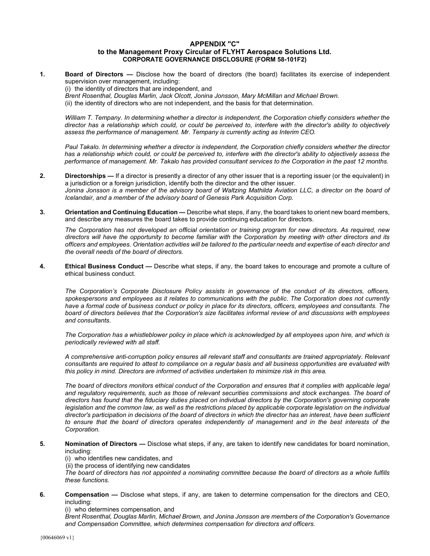#### APPENDIX "C" to the Management Proxy Circular of FLYHT Aerospace Solutions Ltd. CORPORATE GOVERNANCE DISCLOSURE (FORM 58-101F2)

1. Board of Directors — Disclose how the board of directors (the board) facilitates its exercise of independent supervision over management, including:

(i) the identity of directors that are independent, and

Brent Rosenthal, Douglas Marlin, Jack Olcott, Jonina Jonsson, Mary McMillan and Michael Brown. (ii) the identity of directors who are not independent, and the basis for that determination.

William T. Tempany. In determining whether a director is independent, the Corporation chiefly considers whether the director has a relationship which could, or could be perceived to, interfere with the director's ability to objectively assess the performance of management. Mr. Tempany is currently acting as Interim CEO.

Paul Takalo. In determining whether a director is independent, the Corporation chiefly considers whether the director has a relationship which could, or could be perceived to, interfere with the director's ability to objectively assess the performance of management. Mr. Takalo has provided consultant services to the Corporation in the past 12 months.

- 2. Directorships If a director is presently a director of any other issuer that is a reporting issuer (or the equivalent) in a jurisdiction or a foreign jurisdiction, identify both the director and the other issuer. Jonina Jonsson is a member of the advisory board of Waltzing Mathilda Aviation LLC, a director on the board of Icelandair, and a member of the advisory board of Genesis Park Acquisition Corp.
- 3. Orientation and Continuing Education Describe what steps, if any, the board takes to orient new board members, and describe any measures the board takes to provide continuing education for directors.

The Corporation has not developed an official orientation or training program for new directors. As required, new directors will have the opportunity to become familiar with the Corporation by meeting with other directors and its officers and employees. Orientation activities will be tailored to the particular needs and expertise of each director and the overall needs of the board of directors.

4. Ethical Business Conduct — Describe what steps, if any, the board takes to encourage and promote a culture of ethical business conduct.

The Corporation's Corporate Disclosure Policy assists in governance of the conduct of its directors, officers, spokespersons and employees as it relates to communications with the public. The Corporation does not currently have a formal code of business conduct or policy in place for its directors, officers, employees and consultants. The board of directors believes that the Corporation's size facilitates informal review of and discussions with employees and consultants.

The Corporation has a whistleblower policy in place which is acknowledged by all employees upon hire, and which is periodically reviewed with all staff.

A comprehensive anti-corruption policy ensures all relevant staff and consultants are trained appropriately. Relevant consultants are required to attest to compliance on a regular basis and all business opportunities are evaluated with this policy in mind. Directors are informed of activities undertaken to minimize risk in this area.

The board of directors monitors ethical conduct of the Corporation and ensures that it complies with applicable legal and regulatory requirements, such as those of relevant securities commissions and stock exchanges. The board of directors has found that the fiduciary duties placed on individual directors by the Corporation's governing corporate legislation and the common law, as well as the restrictions placed by applicable corporate legislation on the individual director's participation in decisions of the board of directors in which the director has an interest, have been sufficient to ensure that the board of directors operates independently of management and in the best interests of the Corporation.

- 5. Nomination of Directors Disclose what steps, if any, are taken to identify new candidates for board nomination, including:
	- (i) who identifies new candidates, and

(ii) the process of identifying new candidates

The board of directors has not appointed a nominating committee because the board of directors as a whole fulfills these functions.

6. Compensation — Disclose what steps, if any, are taken to determine compensation for the directors and CEO, including:

(i) who determines compensation, and

Brent Rosenthal, Douglas Marlin, Michael Brown, and Jonina Jonsson are members of the Corporation's Governance and Compensation Committee, which determines compensation for directors and officers.